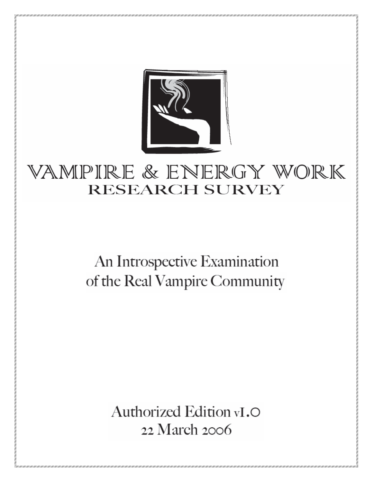

# VAMPIRE & ENERGY WORK **RESEARCH SURVEY**

# An Introspective Examination of the Real Vampire Community

Authorized Edition vI.O 22 March 2006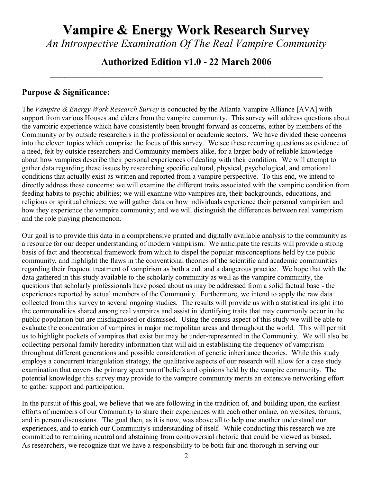# **Vampire & Energy Work Research Survey**

*An Introspective Examination Of The Real Vampire Community*

# **Authorized Edition v1.0 - 22 March 2006** *\_\_\_\_\_\_\_\_\_\_\_\_\_\_\_\_\_\_\_\_\_\_\_\_\_\_\_\_\_\_\_\_\_\_\_\_\_\_\_\_\_\_\_\_\_\_\_\_\_\_\_\_\_\_\_\_*

#### **Purpose & Significance:**

The *Vampire & Energy Work Research Survey* is conducted by the Atlanta Vampire Alliance [AVA] with support from various Houses and elders from the vampire community. This survey will address questions about the vampiric experience which have consistently been brought forward as concerns, either by members of the Community or by outside researchers in the professional or academic sectors. We have divided these concerns into the eleven topics which comprise the focus of this survey. We see these recurring questions as evidence of a need, felt by outside researchers and Community members alike, for a larger body of reliable knowledge about how vampires describe their personal experiences of dealing with their condition. We will attempt to gather data regarding these issues by researching specific cultural, physical, psychological, and emotional conditions that actually exist as written and reported from a vampire perspective. To this end, we intend to directly address these concerns: we will examine the different traits associated with the vampiric condition from feeding habits to psychic abilities; we will examine who vampires are, their backgrounds, educations, and religious or spiritual choices; we will gather data on how individuals experience their personal vampirism and how they experience the vampire community; and we will distinguish the differences between real vampirism and the role playing phenomenon.

Our goal is to provide this data in a comprehensive printed and digitally available analysis to the community as a resource for our deeper understanding of modern vampirism. We anticipate the results will provide a strong basis of fact and theoretical framework from which to dispel the popular misconceptions held by the public community, and highlight the flaws in the conventional theories of the scientific and academic communities regarding their frequent treatment of vampirism as both a cult and a dangerous practice. We hope that with the data gathered in this study available to the scholarly community as well as the vampire community, the questions that scholarly professionals have posed about us may be addressed from a solid factual base - the experiences reported by actual members of the Community. Furthermore, we intend to apply the raw data collected from this survey to several ongoing studies. The results will provide us with a statistical insight into the commonalities shared among real vampires and assist in identifying traits that may commonly occur in the public population but are misdiagnosed or dismissed. Using the census aspect of this study we will be able to evaluate the concentration of vampires in major metropolitan areas and throughout the world. This will permit us to highlight pockets of vampires that exist but may be under-represented in the Community. We will also be collecting personal family heredity information that will aid in establishing the frequency of vampirism throughout different generations and possible consideration of genetic inheritance theories. While this study employs a concurrent triangulation strategy, the qualitative aspects of our research will allow for a case study examination that covers the primary spectrum of beliefs and opinions held by the vampire community. The potential knowledge this survey may provide to the vampire community merits an extensive networking effort to gather support and participation.

In the pursuit of this goal, we believe that we are following in the tradition of, and building upon, the earliest efforts of members of our Community to share their experiences with each other online, on websites, forums, and in person discussions. The goal then, as it is now, was above all to help one another understand our experiences, and to enrich our Community's understanding of itself. While conducting this research we are committed to remaining neutral and abstaining from controversial rhetoric that could be viewed as biased. As researchers, we recognize that we have a responsibility to be both fair and thorough in serving our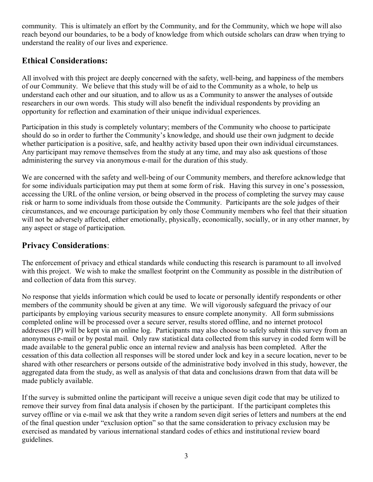community. This is ultimately an effort by the Community, and for the Community, which we hope will also reach beyond our boundaries, to be a body of knowledge from which outside scholars can draw when trying to understand the reality of our lives and experience.

# **Ethical Considerations:**

All involved with this project are deeply concerned with the safety, well-being, and happiness of the members of our Community. We believe that this study will be of aid to the Community as a whole, to help us understand each other and our situation, and to allow us as a Community to answer the analyses of outside researchers in our own words. This study will also benefit the individual respondents by providing an opportunity for reflection and examination of their unique individual experiences.

Participation in this study is completely voluntary; members of the Community who choose to participate should do so in order to further the Community's knowledge, and should use their own judgment to decide whether participation is a positive, safe, and healthy activity based upon their own individual circumstances. Any participant may remove themselves from the study at any time, and may also ask questions of those administering the survey via anonymous e-mail for the duration of this study.

We are concerned with the safety and well-being of our Community members, and therefore acknowledge that for some individuals participation may put them at some form of risk. Having this survey in one's possession, accessing the URL of the online version, or being observed in the process of completing the survey may cause risk or harm to some individuals from those outside the Community. Participants are the sole judges of their circumstances, and we encourage participation by only those Community members who feel that their situation will not be adversely affected, either emotionally, physically, economically, socially, or in any other manner, by any aspect or stage of participation.

# **Privacy Considerations**:

The enforcement of privacy and ethical standards while conducting this research is paramount to all involved with this project. We wish to make the smallest footprint on the Community as possible in the distribution of and collection of data from this survey.

No response that yields information which could be used to locate or personally identify respondents or other members of the community should be given at any time. We will vigorously safeguard the privacy of our participants by employing various security measures to ensure complete anonymity. All form submissions completed online will be processed over a secure server, results stored offline, and no internet protocol addresses (IP) will be kept via an online log. Participants may also choose to safely submit this survey from an anonymous e-mail or by postal mail. Only raw statistical data collected from this survey in coded form will be made available to the general public once an internal review and analysis has been completed. After the cessation of this data collection all responses will be stored under lock and key in a secure location, never to be shared with other researchers or persons outside of the administrative body involved in this study, however, the aggregated data from the study, as well as analysis of that data and conclusions drawn from that data will be made publicly available.

If the survey is submitted online the participant will receive a unique seven digit code that may be utilized to remove their survey from final data analysis if chosen by the participant. If the participant completes this survey offline or via e-mail we ask that they write a random seven digit series of letters and numbers at the end of the final question under "exclusion option" so that the same consideration to privacy exclusion may be exercised as mandated by various international standard codes of ethics and institutional review board guidelines.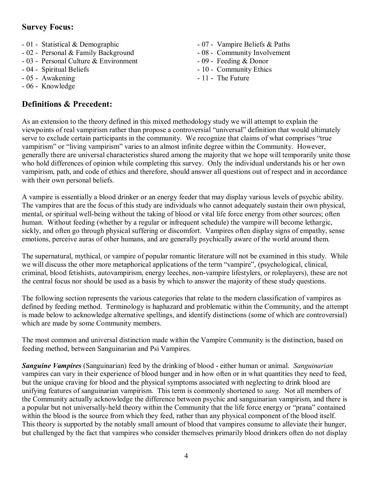# **Survey Focus:**

- 01 Statistical & Demographic
- 02 Personal & Family Background
- 03 Personal Culture & Environment
- 04 Spiritual Beliefs
- 05 Awakening
- 06 Knowledge

# **Definitions & Precedent:**

- 07 Vampire Beliefs & Paths
- 08 Community Involvement
- 09 Feeding & Donor
- 10 Community Ethics
- 11 The Future

As an extension to the theory defined in this mixed methodology study we will attempt to explain the viewpoints of real vampirism rather than propose a controversial "universal" definition that would ultimately serve to exclude certain participants in the community. We recognize that claims of what comprises "true vampirism" or "living vampirism" varies to an almost infinite degree within the Community. However, generally there are universal characteristics shared among the majority that we hope will temporarily unite those who hold differences of opinion while completing this survey. Only the individual understands his or her own vampirism, path, and code of ethics and therefore, should answer all questions out of respect and in accordance with their own personal beliefs.

A vampire is essentially a blood drinker or an energy feeder that may display various levels of psychic ability. The vampires that are the focus of this study are individuals who cannot adequately sustain their own physical, mental, or spiritual well-being without the taking of blood or vital life force energy from other sources; often human. Without feeding (whether by a regular or infrequent schedule) the vampire will become lethargic, sickly, and often go through physical suffering or discomfort. Vampires often display signs of empathy, sense emotions, perceive auras of other humans, and are generally psychically aware of the world around them.

The supernatural, mythical, or vampire of popular romantic literature will not be examined in this study. While we will discuss the other more metaphorical applications of the term "vampire", (psychological, clinical, criminal, blood fetishists, autovampirism, energy leeches, non-vampire lifestylers, or roleplayers), these are not the central focus nor should be used as a basis by which to answer the majority of these study questions.

The following section represents the various categories that relate to the modern classification of vampires as defined by feeding method. Terminology is haphazard and problematic within the Community, and the attempt is made below to acknowledge alternative spellings, and identify distinctions (some of which are controversial) which are made by some Community members.

The most common and universal distinction made within the Vampire Community is the distinction, based on feeding method, between Sanguinarian and Psi Vampires.

*Sanguine Vampires* (Sanguinarian) feed by the drinking of blood - either human or animal. *Sanguinarian* vampires can vary in their experience of blood hunger and in how often or in what quantities they need to feed, but the unique craving for blood and the physical symptoms associated with neglecting to drink blood are unifying features of sanguinarian vampirism. This term is commonly shortened to *sang*. Not all members of the Community actually acknowledge the difference between psychic and sanguinarian vampirism, and there is a popular but not universally-held theory within the Community that the life force energy or "prana" contained within the blood is the source from which they feed, rather than any physical component of the blood itself. This theory is supported by the notably small amount of blood that vampires consume to alleviate their hunger, but challenged by the fact that vampires who consider themselves primarily blood drinkers often do not display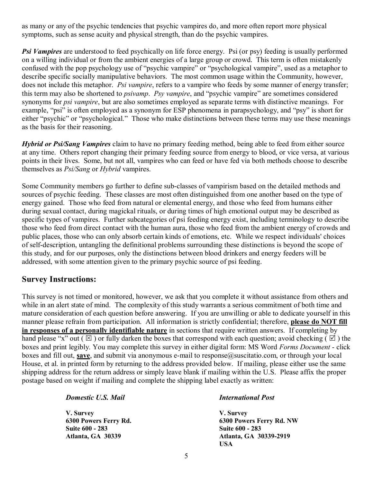as many or any of the psychic tendencies that psychic vampires do, and more often report more physical symptoms, such as sense acuity and physical strength, than do the psychic vampires.

*Psi Vampires* are understood to feed psychically on life force energy. Psi (or psy) feeding is usually performed on a willing individual or from the ambient energies of a large group or crowd. This term is often mistakenly confused with the pop psychology use of "psychic vampire" or "psychological vampire", used as a metaphor to describe specific socially manipulative behaviors. The most common usage within the Community, however, does not include this metaphor. *Psi vampire*, refers to a vampire who feeds by some manner of energy transfer; this term may also be shortened to *psivamp*. *Psy vampire*, and "psychic vampire" are sometimes considered synonyms for *psi vampire*, but are also sometimes employed as separate terms with distinctive meanings. For example, "psi" is often employed as a synonym for ESP phenomena in parapsychology, and "psy" is short for either "psychic" or "psychological." Those who make distinctions between these terms may use these meanings as the basis for their reasoning.

*Hybrid or Psi/Sang Vampires* claim to have no primary feeding method, being able to feed from either source at any time. Others report changing their primary feeding source from energy to blood, or vice versa, at various points in their lives. Some, but not all, vampires who can feed or have fed via both methods choose to describe themselves as *Psi/Sang* or *Hybrid* vampires.

Some Community members go further to define sub-classes of vampirism based on the detailed methods and sources of psychic feeding. These classes are most often distinguished from one another based on the type of energy gained. Those who feed from natural or elemental energy, and those who feed from humans either during sexual contact, during magickal rituals, or during times of high emotional output may be described as specific types of vampires. Further subcategories of psi feeding energy exist, including terminology to describe those who feed from direct contact with the human aura, those who feed from the ambient energy of crowds and public places, those who can only absorb certain kinds of emotions, etc. While we respect individuals' choices of self-description, untangling the definitional problems surrounding these distinctions is beyond the scope of this study, and for our purposes, only the distinctions between blood drinkers and energy feeders will be addressed, with some attention given to the primary psychic source of psi feeding.

#### **Survey Instructions:**

This survey is not timed or monitored, however, we ask that you complete it without assistance from others and while in an alert state of mind. The complexity of this study warrants a serious commitment of both time and mature consideration of each question before answering. If you are unwilling or able to dedicate yourself in this manner please refrain from participation. All information is strictly confidential; therefore, **please do NOT fill in responses of a personally identifiable nature** in sections that require written answers. If completing by hand please "x" out ( $\boxtimes$ ) or fully darken the boxes that correspond with each question; avoid checking ( $\boxtimes$ ) the boxes and print legibly. You may complete this survey in either digital form: MS Word *Forms Document* - click boxes and fill out, save, and submit via anonymous e-mail to response@suscitatio.com, or through your local House, et al. in printed form by returning to the address provided below. If mailing, please either use the same shipping address for the return address or simply leave blank if mailing within the U.S. Please affix the proper postage based on weight if mailing and complete the shipping label exactly as written:

*Domestic U.S. Mail*

**V. Survey 6300 Powers Ferry Rd. Suite 600 - 283 Atlanta, GA 30339**

#### *International Post*

**V. Survey 6300 Powers Ferry Rd. NW Suite 600 - 283 Atlanta, GA 30339-2919 USA**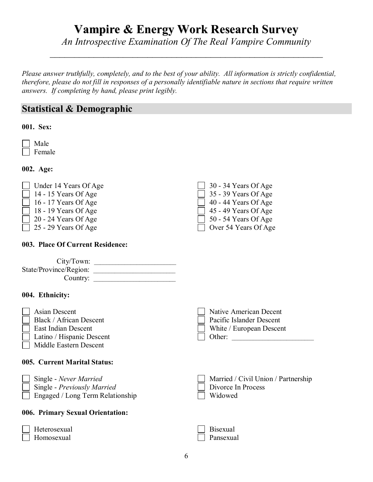# **Vampire & Energy Work Research Survey**

*An Introspective Examination Of The Real Vampire Community \_\_\_\_\_\_\_\_\_\_\_\_\_\_\_\_\_\_\_\_\_\_\_\_\_\_\_\_\_\_\_\_\_\_\_\_\_\_\_\_\_\_\_\_\_\_\_\_\_\_\_\_\_\_\_\_*

*Please answer truthfully, completely, and to the best of your ability. All information is strictly confidential, therefore, please do not fill in responses of a personally identifiable nature in sections that require written answers. If completing by hand, please print legibly.*

# **Statistical & Demographic**

#### **001. Sex:**

 Male Female

**002. Age:**

| $\Box$ Under 14 Years Of Age | $\Box$ 30 - 34 Years Of Age |
|------------------------------|-----------------------------|
| $\Box$ 14 - 15 Years Of Age  | $\Box$ 35 - 39 Years Of Age |
| $\Box$ 16 - 17 Years Of Age  | $\Box$ 40 - 44 Years Of Age |
| $\Box$ 18 - 19 Years Of Age  | $\Box$ 45 - 49 Years Of Age |
| $\Box$ 20 - 24 Years Of Age  | $\Box$ 50 - 54 Years Of Age |
| $\Box$ 25 - 29 Years Of Age  | $\Box$ Over 54 Years Of Age |

#### **003. Place Of Current Residence:**

| City/Town:             |  |
|------------------------|--|
| State/Province/Region: |  |
| Country:               |  |

#### **004. Ethnicity:**

Homosexual

| <b>Asian Descent</b><br><b>Black / African Descent</b><br>East Indian Descent<br>Latino / Hispanic Descent<br>Middle Eastern Descent | Native American Decent<br>Pacific Islander Descent<br>White / European Descent<br>Other: |
|--------------------------------------------------------------------------------------------------------------------------------------|------------------------------------------------------------------------------------------|
| 005. Current Marital Status:                                                                                                         |                                                                                          |
| Single - Never Married<br>Single - Previously Married<br>Engaged / Long Term Relationship                                            | Married / Civil Union / Partnership<br>Divorce In Process<br>Widowed                     |
| 006. Primary Sexual Orientation:                                                                                                     |                                                                                          |
| Heterosexual                                                                                                                         | Bisexual                                                                                 |

Pansexual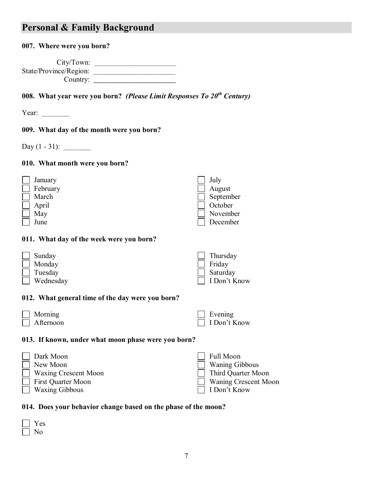# **Personal & Family Background**

#### **007. Where were you born?**

| City/ Town:            |  |
|------------------------|--|
| State/Province/Region: |  |
| Country:               |  |

**008. What year were you born?** *(Please Limit Responses To 20th Century)*

Year:

#### **009. What day of the month were you born?**

Day (1 - 31): \_\_\_\_\_\_\_\_\_

#### **010. What month were you born?**

| January                                                                              | July                                           |
|--------------------------------------------------------------------------------------|------------------------------------------------|
| February                                                                             | August                                         |
| March                                                                                | September                                      |
| April                                                                                | October                                        |
| May                                                                                  | November                                       |
| June                                                                                 | December                                       |
| 011. What day of the week were you born?<br>Sunday<br>Monday<br>Tuesday<br>Wednesday | Thursday<br>Friday<br>Saturday<br>I Don't Know |

#### **012. What general time of the day were you born?**

| Morning   | Evening      |
|-----------|--------------|
| Afternoon | I Don't Know |

#### **013. If known, under what moon phase were you born?**

| Dark Moon                 | $\Box$ Full Moon      |
|---------------------------|-----------------------|
| $\Box$ New Moon           | $\Box$ Waning Gibbous |
| Waxing Crescent Moon      | Third Quarter Moon    |
| <b>First Quarter Moon</b> | Waning Crescent Moon  |
| $\Box$ Waxing Gibbous     | $\Box$ I Don't Know   |

#### **014. Does your behavior change based on the phase of the moon?**

| -- |
|----|
|    |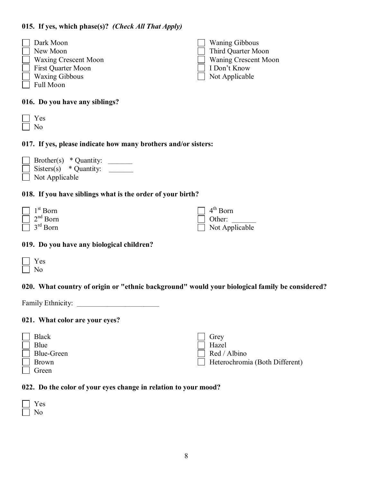#### **015. If yes, which phase(s)?** *(Check All That Apply)*

| Dark Moon                   | <b>Waning Gibbous</b>       |
|-----------------------------|-----------------------------|
| New Moon                    | Third Quarter Moon          |
| <b>Waxing Crescent Moon</b> | <b>Waning Crescent Moon</b> |
| <b>First Quarter Moon</b>   | I Don't Know                |
| <b>Waxing Gibbous</b>       | Not Applicable              |
| Full Moon                   |                             |
|                             |                             |
| 016 <sub>h</sub><br>л.      |                             |

#### **016. Do you have any siblings?**

| UN. |  |
|-----|--|
|     |  |

#### **017. If yes, please indicate how many brothers and/or sisters:**



#### **018. If you have siblings what is the order of your birth?**

| $\Box$ 1 <sup>st</sup> Born | $\Box$ 4 <sup>th</sup> Born |
|-----------------------------|-----------------------------|
| $\Box$ 2 <sup>nd</sup> Born | $\Box$ Other:               |
| $\Box$ 3 <sup>rd</sup> Born | $\Box$ Not Applicable       |

#### **019. Do you have any biological children?**

#### **020. What country of origin or "ethnic background" would your biological family be considered?**

Family Ethnicity: \_\_\_\_\_\_\_\_\_\_\_\_\_\_\_\_\_\_\_\_\_\_\_\_\_\_\_

#### **021. What color are your eyes?**



#### **022. Do the color of your eyes change in relation to your mood?**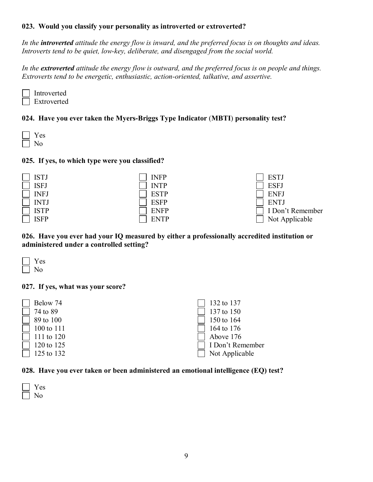#### **023. Would you classify your personality as introverted or extroverted?**

*In the introverted attitude the energy flow is inward, and the preferred focus is on thoughts and ideas. Introverts tend to be quiet, low-key, deliberate, and disengaged from the social world.*

*In the extroverted attitude the energy flow is outward, and the preferred focus is on people and things. Extroverts tend to be energetic, enthusiastic, action-oriented, talkative, and assertive.*

| Introverted |
|-------------|
| Extroverted |

#### **024. Have you ever taken the Myers-Briggs Type Indicator** (**MBTI**) **personality test?**

| <b>College</b> |
|----------------|
|                |

#### **025. If yes, to which type were you classified?**





**026. Have you ever had your IQ measured by either a professionally accredited institution or administered under a controlled setting?**



#### **027. If yes, what was your score?**



#### **028. Have you ever taken or been administered an emotional intelligence (EQ) test?**

| w<br>− |
|--------|
|        |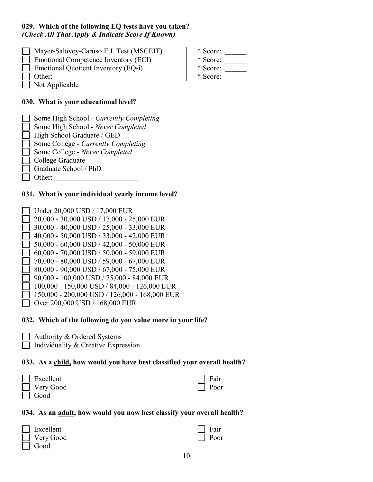#### **029. Which of the following EQ tests have you taken?**  *(Check All That Apply & Indicate Score If Known)*

- Mayer-Salovey-Caruso E.I. Test (MSCEIT) Emotional Competence Inventory (ECI) Emotional Quotient Inventory (EQ-i)
- Other:
- Not Applicable

# **030. What is your educational level?**

| Some High School - Currently Completing    |  |
|--------------------------------------------|--|
| Some High School - Never Completed         |  |
| High School Graduate / GED                 |  |
| Some College - <i>Currently Completing</i> |  |
| Some College - Never Completed             |  |
| $\Box$ College Graduate                    |  |
| Graduate School / PhD                      |  |
| Other <sup>.</sup>                         |  |

## **031. What is your individual yearly income level?**

- Under 20,000 USD / 17,000 EUR
- 20,000 30,000 USD / 17,000 25,000 EUR
- 30,000 40,000 USD / 25,000 33,000 EUR
- 40,000 50,000 USD / 33,000 42,000 EUR
- 50,000 60,000 USD / 42,000 50,000 EUR
- 60,000 70,000 USD / 50,000 59,000 EUR
- 70,000 80,000 USD / 59,000 67,000 EUR
- 80,000 90,000 USD / 67,000 75,000 EUR
- 90,000 100,000 USD / 75,000 84,000 EUR
- 100,000 150,000 USD / 84,000 126,000 EUR
- 150,000 200,000 USD / 126,000 168,000 EUR
- Over 200,000 USD / 168,000 EUR

# **032. Which of the following do you value more in your life?**

- Authority & Ordered Systems
- $\Box$  Individuality & Creative Expression

# **033. As a child, how would you have best classified your overall health?**

| Excellent |
|-----------|
| Very Good |

| 70 YO CI |
|----------|

# **034. As an adult, how would you now best classify your overall health?**

| Excellent |
|-----------|
| Very Good |
| Good      |

| verall h |  |
|----------|--|
|          |  |

 Fair Poor

 Fair Poor

| * Score: |  |
|----------|--|
|          |  |

- $*$  Score:  $\_\_$
- $*$  Score:  $\_\_$
- $*$  Score:  $\_\_$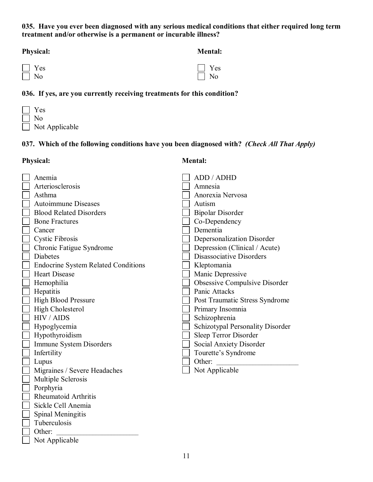#### **035. Have you ever been diagnosed with any serious medical conditions that either required long term treatment and/or otherwise is a permanent or incurable illness?**

| <b>Physical:</b> | <b>Mental:</b> |
|------------------|----------------|
| $\Box$ Yes       | $\Box$ Yes     |
| $\Box$ No        | $\Box$ No      |

#### **036. If yes, are you currently receiving treatments for this condition?**

 Yes No  $\Box$ Not Applicable

Not Applicable

#### **037. Which of the following conditions have you been diagnosed with?** *(Check All That Apply)*

Physical: **Mental: Mental:** 

| Anemia                                     | ADD / ADHD                       |
|--------------------------------------------|----------------------------------|
| Arteriosclerosis                           | Amnesia                          |
| Asthma                                     | Anorexia Nervosa                 |
| <b>Autoimmune Diseases</b>                 | Autism                           |
| <b>Blood Related Disorders</b>             | <b>Bipolar Disorder</b>          |
| <b>Bone Fractures</b>                      | Co-Dependency                    |
| Cancer                                     | Dementia                         |
| <b>Cystic Fibrosis</b>                     | Depersonalization Disorder       |
| Chronic Fatigue Syndrome                   | Depression (Clinical / Acute)    |
| <b>Diabetes</b>                            | Disassociative Disorders         |
| <b>Endocrine System Related Conditions</b> | Kleptomania                      |
| <b>Heart Disease</b>                       | Manic Depressive                 |
| Hemophilia                                 | Obsessive Compulsive Disorder    |
| Hepatitis                                  | Panic Attacks                    |
| <b>High Blood Pressure</b>                 | Post Traumatic Stress Syndrome   |
| High Cholesterol                           | Primary Insomnia                 |
| HIV / AIDS                                 | Schizophrenia                    |
| Hypoglycemia                               | Schizotypal Personality Disorder |
| Hypothyroidism                             | Sleep Terror Disorder            |
| Immune System Disorders                    | Social Anxiety Disorder          |
| Infertility                                | Tourette's Syndrome              |
| Lupus                                      | Other:                           |
| Migraines / Severe Headaches               | Not Applicable                   |
| Multiple Sclerosis                         |                                  |
| Porphyria                                  |                                  |
| Rheumatoid Arthritis                       |                                  |
| Sickle Cell Anemia                         |                                  |
| Spinal Meningitis                          |                                  |
| Tuberculosis                               |                                  |
| Other:                                     |                                  |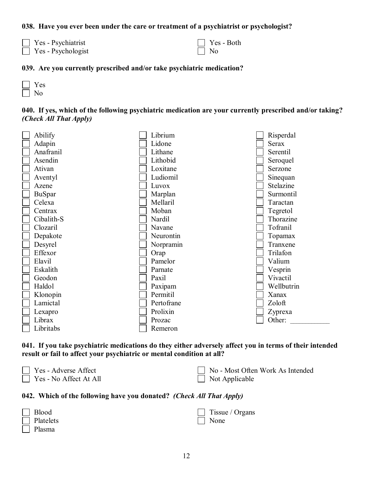#### **038. Have you ever been under the care or treatment of a psychiatrist or psychologist?**

 $\Box$  Yes - Psychiatrist Yes - Psychologist

 Yes - Both No

#### **039. Are you currently prescribed and/or take psychiatric medication?**

 Yes No

|  |                        | 040. If yes, which of the following psychiatric medication are your currently prescribed and/or taking? |  |  |  |  |
|--|------------------------|---------------------------------------------------------------------------------------------------------|--|--|--|--|
|  | (Check All That Apply) |                                                                                                         |  |  |  |  |



**041. If you take psychiatric medications do they either adversely affect you in terms of their intended result or fail to affect your psychiatric or mental condition at all?**

| Yes - Adverse Affect          |  |
|-------------------------------|--|
| $\Box$ Yes - No Affect At All |  |

| No - Most Often Work As Intended |
|----------------------------------|
| $\Box$ Not Applicable            |

#### **042. Which of the following have you donated?** *(Check All That Apply)*

| $\Box$ Blood  | $\Box$ Tissue / Organs |
|---------------|------------------------|
| Platelets     | $\Box$ None            |
| $\Box$ Plasma |                        |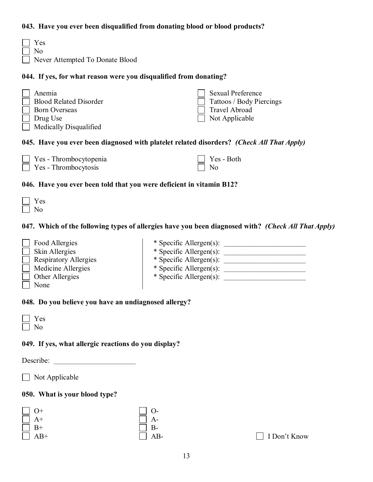#### **043. Have you ever been disqualified from donating blood or blood products?**

| Yes<br>No<br>Never Attempted To Donate Blood                                                          |                                                                                         |  |  |
|-------------------------------------------------------------------------------------------------------|-----------------------------------------------------------------------------------------|--|--|
| 044. If yes, for what reason were you disqualified from donating?                                     |                                                                                         |  |  |
| Anemia<br><b>Blood Related Disorder</b><br><b>Born Overseas</b><br>Drug Use<br>Medically Disqualified | Sexual Preference<br>Tattoos / Body Piercings<br><b>Travel Abroad</b><br>Not Applicable |  |  |
| 045. Have you ever been diagnosed with platelet related disorders? <i>(Check All That Apply)</i>      |                                                                                         |  |  |

#### Yes - Thrombocytopenia Yes - Thrombocytosis Yes - Both No

#### **046. Have you ever been told that you were deficient in vitamin B12?**

#### **047. Which of the following types of allergies have you been diagnosed with?** *(Check All That Apply)*

| Food Allergies               | * Specific Allergen(s): |
|------------------------------|-------------------------|
| Skin Allergies               | * Specific Allergen(s): |
| <b>Respiratory Allergies</b> | * Specific Allergen(s): |
| Medicine Allergies           | * Specific Allergen(s): |
| Other Allergies              | * Specific Allergen(s): |
| None                         |                         |

#### **048. Do you believe you have an undiagnosed allergy?**

| v.<br>Ξ |
|---------|
|         |

#### **049. If yes, what allergic reactions do you display?**

Describe:

 $\Box$  Not Applicable

#### **050. What is your blood type?**

| $\Box$ O+  | $\Box$ O- |
|------------|-----------|
| $\prod$ A+ | $\Box$ A- |
| $\Box$ B+  | $\Box$ B- |
| $\Box$ AB+ | $\Box$ AB |

I Don't Know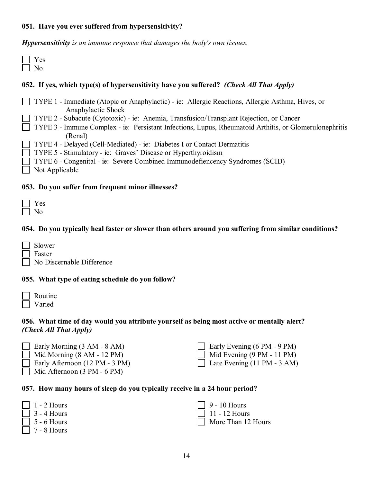#### **051. Have you ever suffered from hypersensitivity?**

*Hypersensitivity is an immune response that damages the body's own tissues.*

 Yes No

#### **052. If yes, which type(s) of hypersensitivity have you suffered?** *(Check All That Apply)*

|                | TYPE 1 - Immediate (Atopic or Anaphylactic) - ie: Allergic Reactions, Allergic Asthma, Hives, or               |
|----------------|----------------------------------------------------------------------------------------------------------------|
|                | Anaphylactic Shock                                                                                             |
|                | TYPE 2 - Subacute (Cytotoxic) - ie: Anemia, Transfusion/Transplant Rejection, or Cancer                        |
|                | $\Box$ TYPE 3 - Immune Complex - ie: Persistant Infections, Lupus, Rheumatoid Arthitis, or Glomerulone phritis |
|                | (Renal)                                                                                                        |
|                | TYPE 4 - Delayed (Cell-Mediated) - ie: Diabetes I or Contact Dermatitis                                        |
|                | $\Box$ TYPE 5 - Stimulatory - ie: Graves' Disease or Hyperthyroidism                                           |
|                | TYPE 6 - Congenital - ie: Severe Combined Immunodefiencency Syndromes (SCID)                                   |
| Not Applicable |                                                                                                                |
|                |                                                                                                                |

#### **053. Do you suffer from frequent minor illnesses?**

#### **054. Do you typically heal faster or slower than others around you suffering from similar conditions?**

- Slower
- Faster

No Discernable Difference

#### **055. What type of eating schedule do you follow?**

| Routine |
|---------|
| Varied  |

#### **056. What time of day would you attribute yourself as being most active or mentally alert?**  *(Check All That Apply)*

| $\Box$ Early Morning (3 AM - 8 AM)    | Early Evening (6 PM - 9 PM)       |
|---------------------------------------|-----------------------------------|
| $\Box$ Mid Morning (8 AM - 12 PM)     | $\Box$ Mid Evening (9 PM - 11 PM) |
| $\Box$ Early Afternoon (12 PM - 3 PM) | Late Evening (11 PM - 3 AM        |

# Mid Afternoon (3 PM - 6 PM)

| $\Box$ Mid Evening (9 PM - 11 PM)  |
|------------------------------------|
| $\Box$ Late Evening (11 PM - 3 AM) |
|                                    |

#### **057. How many hours of sleep do you typically receive in a 24 hour period?**

 $\vert$  1 - 2 Hours 3 - 4 Hours 5 - 6 Hours 7 - 8 Hours 9 - 10 Hours 11 - 12 Hours More Than 12 Hours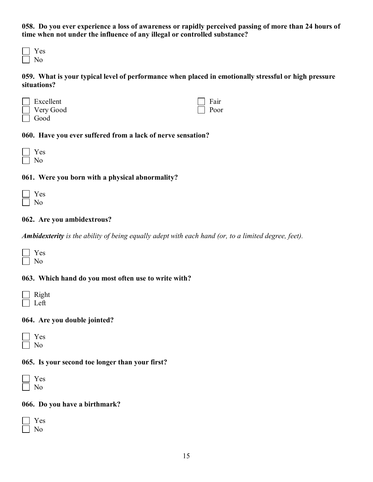**058. Do you ever experience a loss of awareness or rapidly perceived passing of more than 24 hours of time when not under the influence of any illegal or controlled substance?**

 Yes  $\Box$  No

**059. What is your typical level of performance when placed in emotionally stressful or high pressure situations?**

| $\Box$ Excellent | $\Box$ Fair |
|------------------|-------------|
| $\Box$ Very Good | $\Box$ Poor |
| $\Box$ Good      |             |

#### **060. Have you ever suffered from a lack of nerve sensation?**

#### **061. Were you born with a physical abnormality?**

#### **062. Are you ambidextrous?**

*Ambidexterity is the ability of being equally adept with each hand (or, to a limited degree, feet).*

 Yes No

#### **063. Which hand do you most often use to write with?**

| Right |
|-------|
| ett   |

#### **064. Are you double jointed?**

#### **065. Is your second toe longer than your first?**

| o. |
|----|
|    |

#### **066. Do you have a birthmark?**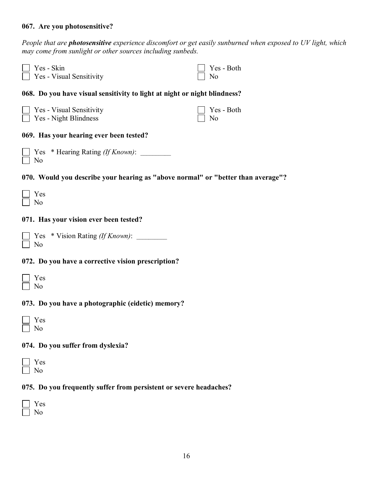#### **067. Are you photosensitive?**

*People that are photosensitive experience discomfort or get easily sunburned when exposed to UV light, which may come from sunlight or other sources including sunbeds.*

| Yes - Skin<br>Yes - Visual Sensitivity                                           | Yes - Both<br>No |
|----------------------------------------------------------------------------------|------------------|
| 068. Do you have visual sensitivity to light at night or night blindness?        |                  |
| Yes - Visual Sensitivity<br>Yes - Night Blindness                                | Yes - Both<br>No |
| 069. Has your hearing ever been tested?                                          |                  |
| Yes * Hearing Rating <i>(If Known)</i> :<br>N <sub>0</sub>                       |                  |
| 070. Would you describe your hearing as "above normal" or "better than average"? |                  |
| Yes<br>N <sub>0</sub>                                                            |                  |
| 071. Has your vision ever been tested?                                           |                  |
| Yes * Vision Rating <i>(If Known)</i> :<br>N <sub>0</sub>                        |                  |
| 072. Do you have a corrective vision prescription?                               |                  |
| Yes<br>N <sub>0</sub>                                                            |                  |
| 073. Do you have a photographic (eidetic) memory?                                |                  |
| Yes<br>N <sub>0</sub>                                                            |                  |
| 074. Do you suffer from dyslexia?                                                |                  |
| Yes<br>No                                                                        |                  |
|                                                                                  |                  |

#### **075. Do you frequently suffer from persistent or severe headaches?**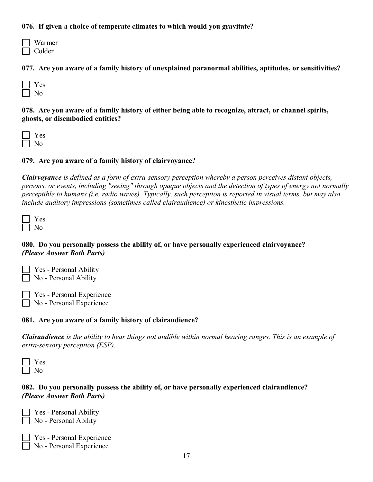#### **076. If given a choice of temperate climates to which would you gravitate?**

| Warmer |
|--------|
| Colder |

**077. Are you aware of a family history of unexplained paranormal abilities, aptitudes, or sensitivities?**

| ٠<br>╸<br>. . |
|---------------|
|               |

**078. Are you aware of a family history of either being able to recognize, attract, or channel spirits, ghosts, or disembodied entities?**

 Yes No

#### **079. Are you aware of a family history of clairvoyance?**

*Clairvoyance is defined as a form of extra-sensory perception whereby a person perceives distant objects, persons, or events, including "seeing" through opaque objects and the detection of types of energy not normally perceptible to humans (i.e. radio waves). Typically, such perception is reported in visual terms, but may also include auditory impressions (sometimes called clairaudience) or kinesthetic impressions.*

#### **080. Do you personally possess the ability of, or have personally experienced clairvoyance?** *(Please Answer Both Parts)*

| $\Box$ Yes - Personal Ability |
|-------------------------------|
| No - Personal Ability         |

 Yes - Personal Experience No - Personal Experience

#### **081. Are you aware of a family history of clairaudience?**

*Clairaudience is the ability to hear things not audible within normal hearing ranges. This is an example of extra-sensory perception (ESP).*

| v<br>᠆ |
|--------|
|        |

#### **082. Do you personally possess the ability of, or have personally experienced clairaudience?** *(Please Answer Both Parts)*

 Yes - Personal Ability No - Personal Ability

No - Personal Experience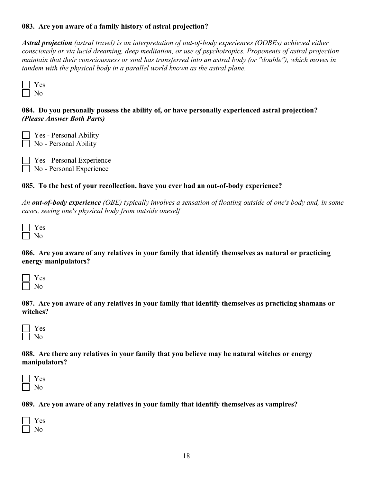#### **083. Are you aware of a family history of astral projection?**

*Astral projection (astral travel) is an interpretation of out-of-body experiences (OOBEs) achieved either consciously or via lucid dreaming, deep meditation, or use of psychotropics. Proponents of astral projection maintain that their consciousness or soul has transferred into an astral body (or "double"), which moves in tandem with the physical body in a parallel world known as the astral plane.*



#### **084. Do you personally possess the ability of, or have personally experienced astral projection?** *(Please Answer Both Parts)*

 Yes - Personal Ability No - Personal Ability

 Yes - Personal Experience No - Personal Experience

#### **085. To the best of your recollection, have you ever had an out-of-body experience?**

*An out-of-body experience (OBE) typically involves a sensation of floating outside of one's body and, in some cases, seeing one's physical body from outside oneself*

 Yes No

**086. Are you aware of any relatives in your family that identify themselves as natural or practicing energy manipulators?**

**087. Are you aware of any relatives in your family that identify themselves as practicing shamans or witches?**

| ≺<br>᠆ |
|--------|
|        |

#### **088. Are there any relatives in your family that you believe may be natural witches or energy manipulators?**

| Ξ |
|---|
|   |

**089. Are you aware of any relatives in your family that identify themselves as vampires?**

| л |
|---|
|   |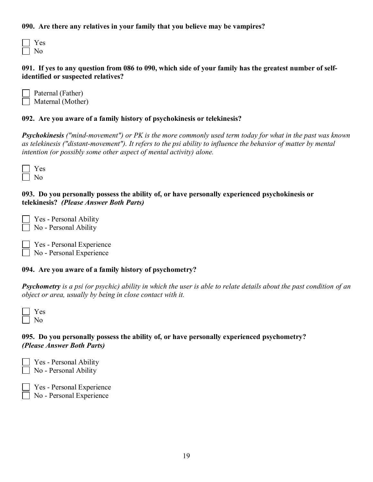#### **090. Are there any relatives in your family that you believe may be vampires?**

#### **091. If yes to any question from 086 to 090, which side of your family has the greatest number of selfidentified or suspected relatives?**

| Paternal (Father)        |
|--------------------------|
| $\Box$ Maternal (Mother) |

#### **092. Are you aware of a family history of psychokinesis or telekinesis?**

*Psychokinesis ("mind-movement") or PK is the more commonly used term today for what in the past was known as telekinesis ("distant-movement"). It refers to the psi ability to influence the behavior of matter by mental intention (or possibly some other aspect of mental activity) alone.*

 Yes No

#### **093. Do you personally possess the ability of, or have personally experienced psychokinesis or telekinesis?** *(Please Answer Both Parts)*

 Yes - Personal Ability No - Personal Ability

 Yes - Personal Experience No - Personal Experience

#### **094. Are you aware of a family history of psychometry?**

*Psychometry is a psi (or psychic) ability in which the user is able to relate details about the past condition of an object or area, usually by being in close contact with it.*

 Yes No

#### **095. Do you personally possess the ability of, or have personally experienced psychometry?**  *(Please Answer Both Parts)*

 Yes - Personal Ability No - Personal Ability

Yes - Personal Experience

No - Personal Experience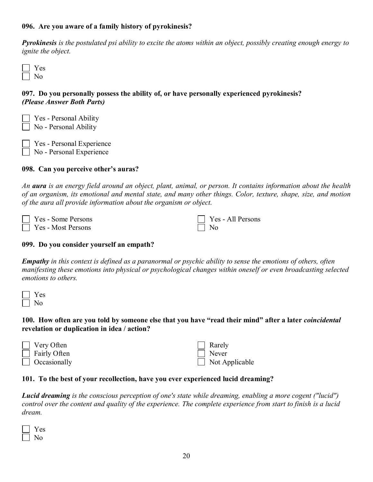#### **096. Are you aware of a family history of pyrokinesis?**

*Pyrokinesis is the postulated psi ability to excite the atoms within an object, possibly creating enough energy to ignite the object.*

| ═ |
|---|
|   |

#### **097. Do you personally possess the ability of, or have personally experienced pyrokinesis?** *(Please Answer Both Parts)*

| $\Box$ Yes - Personal Ability |
|-------------------------------|
| $\Box$ No - Personal Ability  |
|                               |

 Yes - Personal Experience No - Personal Experience

#### **098. Can you perceive other's auras?**

*An aura is an energy field around an object, plant, animal, or person. It contains information about the health of an organism, its emotional and mental state, and many other things. Color, texture, shape, size, and motion of the aura all provide information about the organism or object.*

| $\Box$ Yes - Some Persons | $\Box$ Yes |
|---------------------------|------------|
| $\Box$ Yes - Most Persons | $\Box$ No  |

#### **099. Do you consider yourself an empath?**

*Empathy in this context is defined as a paranormal or psychic ability to sense the emotions of others, often manifesting these emotions into physical or psychological changes within oneself or even broadcasting selected emotions to others.* 

| Ξ |
|---|
|   |

#### **100. How often are you told by someone else that you have "read their mind" after a later** *coincidental* **revelation or duplication in idea / action?**

| $\Box$ Very Often   |  |  |
|---------------------|--|--|
| $\Box$ Fairly Often |  |  |
| $\Box$ Occasionally |  |  |

| Rarely         |
|----------------|
| Never          |
| Not Applicable |

- All Persons

#### **101. To the best of your recollection, have you ever experienced lucid dreaming?**

*Lucid dreaming is the conscious perception of one's state while dreaming, enabling a more cogent ("lucid") control over the content and quality of the experience. The complete experience from start to finish is a lucid dream.*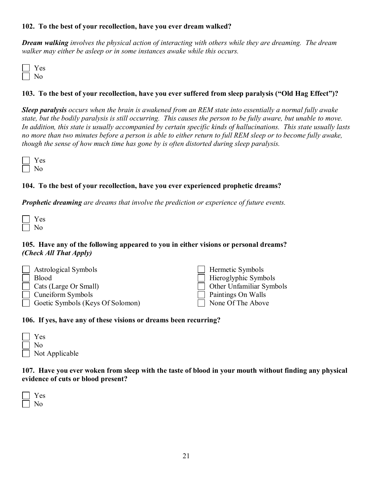#### **102. To the best of your recollection, have you ever dream walked?**

*Dream walking involves the physical action of interacting with others while they are dreaming. The dream walker may either be asleep or in some instances awake while this occurs.*

| ۸<br>- |
|--------|
|        |

#### **103. To the best of your recollection, have you ever suffered from sleep paralysis ("Old Hag Effect")?**

*Sleep paralysis occurs when the brain is awakened from an REM state into essentially a normal fully awake state, but the bodily paralysis is still occurring. This causes the person to be fully aware, but unable to move. In addition, this state is usually accompanied by certain specific kinds of hallucinations. This state usually lasts no more than two minutes before a person is able to either return to full REM sleep or to become fully awake, though the sense of how much time has gone by is often distorted during sleep paralysis.*

#### **104. To the best of your recollection, have you ever experienced prophetic dreams?**

*Prophetic dreaming are dreams that involve the prediction or experience of future events.*

#### **105. Have any of the following appeared to you in either visions or personal dreams?**  *(Check All That Apply)*

| Astrological Symbols         |                                  | $\Box$ Hermetic Symbols         |
|------------------------------|----------------------------------|---------------------------------|
| <b>Blood</b>                 |                                  | $\Box$ Hieroglyphic Symbols     |
| $\Box$ Cats (Large Or Small) |                                  | $\Box$ Other Unfamiliar Symbols |
| $\Box$ Cuneiform Symbols     |                                  | $\Box$ Paintings On Walls       |
|                              | Goetic Symbols (Keys Of Solomon) | $\Box$ None Of The Above        |

#### **106. If yes, have any of these visions or dreams been recurring?**

| $\mathbb{R}$ | Y es                  |
|--------------|-----------------------|
|              | $\perp$ No            |
|              | $\Box$ Not Applicable |

**107. Have you ever woken from sleep with the taste of blood in your mouth without finding any physical evidence of cuts or blood present?**

| o.<br>ι. |
|----------|
|          |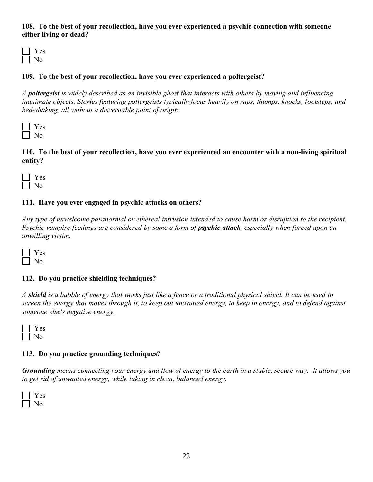#### **108. To the best of your recollection, have you ever experienced a psychic connection with someone either living or dead?**

 Yes No

#### **109. To the best of your recollection, have you ever experienced a poltergeist?**

*A poltergeist is widely described as an invisible ghost that interacts with others by moving and influencing inanimate objects. Stories featuring poltergeists typically focus heavily on raps, thumps, knocks, footsteps, and bed-shaking, all without a discernable point of origin.*

| o. |
|----|
|    |

**110. To the best of your recollection, have you ever experienced an encounter with a non-living spiritual entity?**

 Yes No

#### **111. Have you ever engaged in psychic attacks on others?**

*Any type of unwelcome paranormal or ethereal intrusion intended to cause harm or disruption to the recipient. Psychic vampire feedings are considered by some a form of <i>psychic attack*, *especially when forced upon an unwilling victim.*

 Yes No

#### **112. Do you practice shielding techniques?**

*A shield is a bubble of energy that works just like a fence or a traditional physical shield. It can be used to screen the energy that moves through it, to keep out unwanted energy, to keep in energy, and to defend against someone else's negative energy.*

| ∸ |
|---|
|   |

#### **113. Do you practice grounding techniques?**

*Grounding means connecting your energy and flow of energy to the earth in a stable, secure way. It allows you to get rid of unwanted energy, while taking in clean, balanced energy.*

 Yes No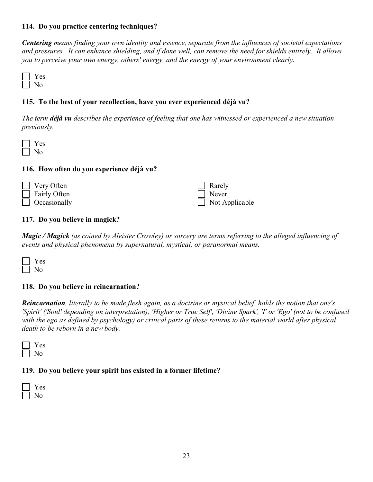#### **114. Do you practice centering techniques?**

*Centering means finding your own identity and essence, separate from the influences of societal expectations and pressures. It can enhance shielding, and if done well, can remove the need for shields entirely. It allows you to perceive your own energy, others' energy, and the energy of your environment clearly.*

 Yes No

#### **115. To the best of your recollection, have you ever experienced déjà vu?**

*The term déjà vu describes the experience of feeling that one has witnessed or experienced a new situation previously.*

 Yes No

#### **116. How often do you experience déjà vu?**

| $\Box$ Very Often   | $\Box$ Rarely         |
|---------------------|-----------------------|
| $\Box$ Fairly Often | $\Box$ Never          |
| $\Box$ Occasionally | $\Box$ Not Applicable |

#### **117. Do you believe in magick?**

*Magic / Magick (as coined by Aleister Crowley) or sorcery are terms referring to the alleged influencing of events and physical phenomena by supernatural, mystical, or paranormal means.*

#### **118. Do you believe in reincarnation?**

*Reincarnation, literally to be made flesh again, as a doctrine or mystical belief, holds the notion that one's 'Spirit' ('Soul' depending on interpretation), 'Higher or True Self', 'Divine Spark', 'I' or 'Ego' (not to be confused with the ego as defined by psychology) or critical parts of these returns to the material world after physical death to be reborn in a new body.*



#### **119. Do you believe your spirit has existed in a former lifetime?**

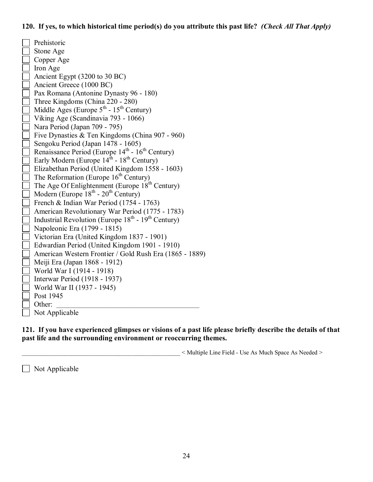#### **120. If yes, to which historical time period(s) do you attribute this past life?** *(Check All That Apply)*

 Prehistoric Stone Age Copper Age Iron Age Ancient Egypt (3200 to 30 BC) Ancient Greece (1000 BC) Pax Romana (Antonine Dynasty 96 - 180) Three Kingdoms (China 220 - 280) Middle Ages (Europe  $5^{\text{th}}$  -  $15^{\text{th}}$  Century) Viking Age (Scandinavia 793 - 1066) Nara Period (Japan 709 - 795) Five Dynasties & Ten Kingdoms (China 907 - 960) Sengoku Period (Japan 1478 - 1605) Renaissance Period (Europe  $14<sup>th</sup>$  -  $16<sup>th</sup>$  Century) Early Modern (Europe  $14^{\text{th}}$  -  $18^{\text{th}}$  Century) Elizabethan Period (United Kingdom 1558 - 1603) The Reformation (Europe  $16<sup>th</sup>$  Century) The Age Of Enlightenment (Europe  $18^{th}$  Century) Modern (Europe  $18^{th}$  -  $20^{th}$  Century) French & Indian War Period (1754 - 1763) American Revolutionary War Period (1775 - 1783) Industrial Revolution (Europe  $18<sup>th</sup>$  -  $19<sup>th</sup>$  Century) Napoleonic Era (1799 - 1815) Victorian Era (United Kingdom 1837 - 1901) Edwardian Period (United Kingdom 1901 - 1910) American Western Frontier / Gold Rush Era (1865 - 1889) Meiji Era (Japan 1868 - 1912) World War I (1914 - 1918) Interwar Period (1918 - 1937) World War II (1937 - 1945) Post 1945 Other: Not Applicable

**121. If you have experienced glimpses or visions of a past life please briefly describe the details of that past life and the surrounding environment or reoccurring themes.**

\_\_\_\_\_\_\_\_\_\_\_\_\_\_\_\_\_\_\_\_\_\_\_\_\_\_\_\_\_\_\_\_\_\_\_\_\_\_\_\_\_\_\_\_\_\_\_\_\_\_\_\_ < Multiple Line Field - Use As Much Space As Needed >

 $\Box$  Not Applicable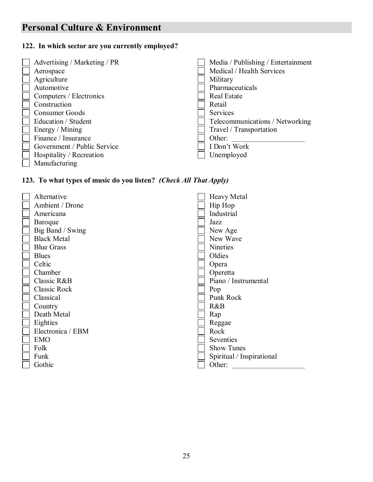# **Personal Culture & Environment**

### **122. In which sector are you currently employed?**

| Advertising / Marketing / PR | Media / Publishing / Entertainment |
|------------------------------|------------------------------------|
| Aerospace                    | Medical / Health Services          |
| Agriculture                  | Military                           |
| Automotive                   | Pharmaceuticals                    |
| Computers / Electronics      | Real Estate                        |
| Construction                 | Retail                             |
| Consumer Goods               | <b>Services</b>                    |
| Education / Student          | Telecommunications / Networking    |
| Energy / Mining              | Travel / Transportation            |
| Finance / Insurance          | Other:                             |
| Government / Public Service  | I Don't Work                       |
| Hospitality / Recreation     | Unemployed                         |
| Manufacturing                |                                    |

# **123. To what types of music do you listen?** *(Check All That Apply)*

| Alternative         | <b>Heavy Metal</b>        |
|---------------------|---------------------------|
| Ambient / Drone     | Hip Hop                   |
| Americana           | Industrial                |
| Baroque             | Jazz                      |
| Big Band / Swing    | New Age                   |
| <b>Black Metal</b>  | New Wave                  |
| <b>Blue Grass</b>   | <b>Nineties</b>           |
| <b>Blues</b>        | Oldies                    |
| Celtic              | Opera                     |
| Chamber             | Operetta                  |
| Classic R&B         | Piano / Instrumental      |
| <b>Classic Rock</b> | Pop                       |
| Classical           | Punk Rock                 |
| Country             | R&B                       |
| Death Metal         | Rap                       |
| Eighties            | Reggae                    |
| Electronica / EBM   | Rock                      |
| <b>EMO</b>          | Seventies                 |
| Folk                | <b>Show Tunes</b>         |
| Funk                | Spiritual / Inspirational |
| Gothic              | Other:                    |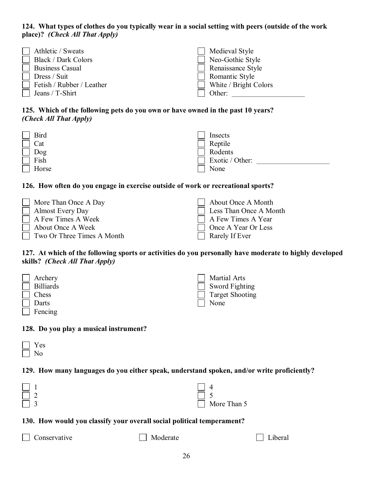#### **124. What types of clothes do you typically wear in a social setting with peers (outside of the work place)?** *(Check All That Apply)*

| Athletic / Sweats                | $\Box$ Medieval Style |
|----------------------------------|-----------------------|
| <b>Black / Dark Colors</b>       | Neo-Gothic Style      |
| $\Box$ Business Casual           | Renaissance Style     |
| $\Box$ Dress / Suit              | Romantic Style        |
| $\Box$ Fetish / Rubber / Leather | White / Bright Colors |
| $\Box$ Jeans / T-Shirt           | Other:                |

#### **125. Which of the following pets do you own or have owned in the past 10 years?**  *(Check All That Apply)*

| Bird  | Insects         |
|-------|-----------------|
| Cat   | Reptile         |
| Dog   | Rodents         |
| Fish  | Exotic / Other: |
| Horse | None            |

#### **126. How often do you engage in exercise outside of work or recreational sports?**

| More Than Once A Day              | About Once A Month            |
|-----------------------------------|-------------------------------|
| $\Box$ Almost Every Day           | <b>Less Than Once A Month</b> |
| $\Box$ A Few Times A Week         | $\Box$ A Few Times A Year     |
| About Once A Week                 | Once A Year Or Less           |
| $\Box$ Two Or Three Times A Month | Rarely If Ever                |

#### **127. At which of the following sports or activities do you personally have moderate to highly developed skills?** *(Check All That Apply)*

| $\Box$ Archery   | Martial Arts           |
|------------------|------------------------|
| <b>Billiards</b> | $\Box$ Sword Fighting  |
| Chess            | <b>Target Shooting</b> |
| Darts            | $\Box$ None            |
| Fencing          |                        |

#### **128. Do you play a musical instrument?**

#### **129. How many languages do you either speak, understand spoken, and/or write proficiently?**

| $\Box$   |                    |
|----------|--------------------|
| $\Box$ 2 | $\Box$ 5           |
| $\Box$ 3 | $\Box$ More Than 5 |

#### **130. How would you classify your overall social political temperament?**

 $\Box$  Moderate  $\Box$  Liberal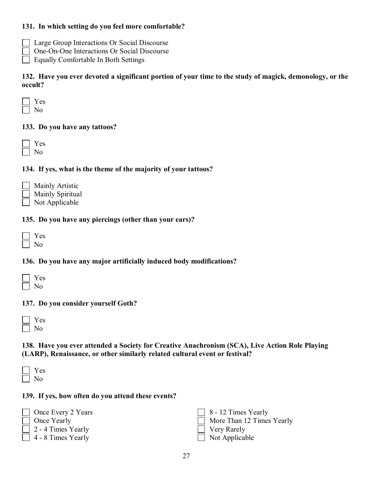#### **131. In which setting do you feel more comfortable?**

- Large Group Interactions Or Social Discourse
- One-On-One Interactions Or Social Discourse
- Equally Comfortable In Both Settings

**132. Have you ever devoted a significant portion of your time to the study of magick, demonology, or the occult?**

#### **133. Do you have any tattoos?**

| J.<br>۰, |
|----------|
| ١        |

#### **134. If yes, what is the theme of the majority of your tattoos?**

|        | $\Box$ Mainly Artistic  |
|--------|-------------------------|
|        | $\Box$ Mainly Spiritual |
| $\Box$ | Not Applicable          |

#### **135. Do you have any piercings (other than your ears)?**

#### **136. Do you have any major artificially induced body modifications?**

#### **137. Do you consider yourself Goth?**

| л<br>o. |
|---------|
|         |

**138. Have you ever attended a Society for Creative Anachronism (SCA), Live Action Role Playing (LARP), Renaissance, or other similarly related cultural event or festival?**

 Yes  $\Box$  No

#### **139. If yes, how often do you attend these events?**

| $\Box$ Once Every 2 Years | $\boxed{8}$ - 12 Times Yearly |
|---------------------------|-------------------------------|
| $\Box$ Once Yearly        | More Than 12 Times Yearly     |
| $\Box$ 2 - 4 Times Yearly | Very Rarely                   |
| $\Box$ 4 - 8 Times Yearly | $\Box$ Not Applicable         |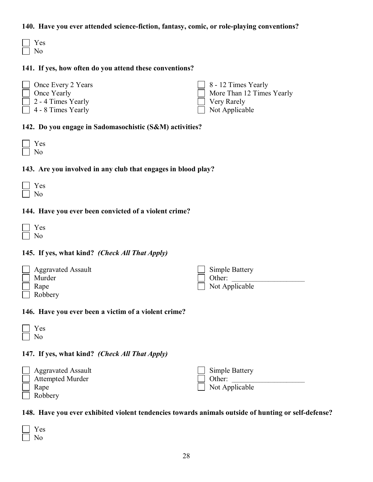#### **140. Have you ever attended science-fiction, fantasy, comic, or role-playing conventions?**

| a sa |
|------|
|      |

#### **141. If yes, how often do you attend these conventions?**

| $\Box$ Once Every 2 Years | $\vert$ 8 - 12 Times Yearly |
|---------------------------|-----------------------------|
| $\Box$ Once Yearly        | More Than 12 Times Yearly   |
| $\Box$ 2 - 4 Times Yearly | Very Rarely                 |
| $\Box$ 4 - 8 Times Yearly | $\Box$ Not Applicable       |

#### **142. Do you engage in Sadomasochistic (S&M) activities?**

#### **143. Are you involved in any club that engages in blood play?**

#### **144. Have you ever been convicted of a violent crime?**

#### **145. If yes, what kind?** *(Check All That Apply)*

| $\Box$ Aggravated Assault | $\Box$ Simple Battery |
|---------------------------|-----------------------|
| Murder                    | Other:                |
| Rape                      | $\Box$ Not Applicable |
| $\Box$ Robbery            |                       |

#### **146. Have you ever been a victim of a violent crime?**

| a sa |
|------|
|      |

## **147. If yes, what kind?** *(Check All That Apply)*

| <b>Aggravated Assault</b> | Simple Battery        |
|---------------------------|-----------------------|
| <b>Attempted Murder</b>   | Other:                |
| Rape                      | $\Box$ Not Applicable |
| Robbery                   |                       |

### **148. Have you ever exhibited violent tendencies towards animals outside of hunting or self-defense?**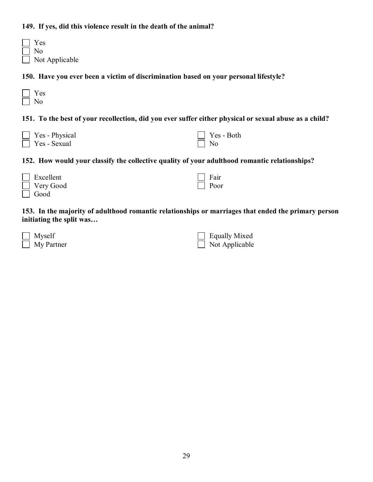#### **149. If yes, did this violence result in the death of the animal?**

| $\Box$ | <b>Yes</b>            |
|--------|-----------------------|
|        | No                    |
|        | $\Box$ Not Applicable |

**150. Have you ever been a victim of discrimination based on your personal lifestyle?**

| ═ |
|---|
|   |

**151. To the best of your recollection, did you ever suffer either physical or sexual abuse as a child?**

| Yes - Physical |
|----------------|
| Yes - Sexual   |

| Yes - Both |
|------------|
| Nο         |

**152. How would your classify the collective quality of your adulthood romantic relationships?** 

| Excellent        | $\Box$ Fair |
|------------------|-------------|
| $\Box$ Very Good | $\Box$ Poor |
| $\Box$ Good      |             |

**153. In the majority of adulthood romantic relationships or marriages that ended the primary person initiating the split was…**

| $\Box$ Myself     | $\Box$ Equally Mixed  |
|-------------------|-----------------------|
| $\Box$ My Partner | $\Box$ Not Applicable |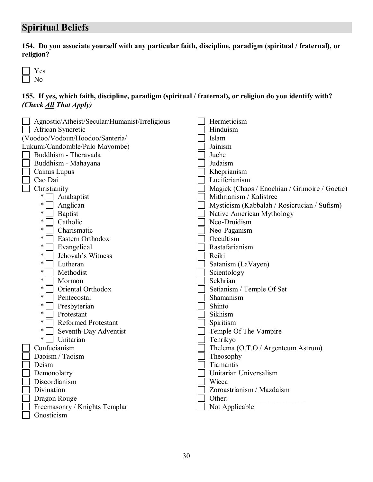# **Spiritual Beliefs**

**154. Do you associate yourself with any particular faith, discipline, paradigm (spiritual / fraternal), or religion?**

 Yes  $\sqrt{ }$ 1 No

#### **155. If yes, which faith, discipline, paradigm (spiritual / fraternal), or religion do you identify with?**  *(Check All That Apply)*

| Agnostic/Atheist/Secular/Humanist/Irreligious |  | Hermeticism                                   |
|-----------------------------------------------|--|-----------------------------------------------|
| African Syncretic                             |  | Hinduism                                      |
| (Voodoo/Vodoun/Hoodoo/Santeria/               |  | Islam                                         |
| Lukumi/Candomble/Palo Mayombe)                |  | Jainism                                       |
| Buddhism - Theravada                          |  | Juche                                         |
| Buddhism - Mahayana                           |  | Judaism                                       |
| Cainus Lupus                                  |  | Kheprianism                                   |
| Cao Dai                                       |  | Luciferianism                                 |
| Christianity                                  |  | Magick (Chaos / Enochian / Grimoire / Goetic) |
| ∗<br>Anabaptist                               |  | Mithrianism / Kalistree                       |
| ∗<br>Anglican                                 |  | Mysticism (Kabbalah / Rosicrucian / Sufism)   |
| $\ast$<br><b>Baptist</b>                      |  | Native American Mythology                     |
| Catholic<br>$\ast$                            |  | Neo-Druidism                                  |
| *<br>Charismatic                              |  | Neo-Paganism                                  |
| *<br>Eastern Orthodox                         |  | Occultism                                     |
| $\ast$<br>Evangelical                         |  | Rastafarianism                                |
| Jehovah's Witness<br>$\ast$                   |  | Reiki                                         |
| $\ast$<br>Lutheran                            |  | Satanism (LaVayen)                            |
| Methodist<br>*                                |  | Scientology                                   |
| $\ast$<br>Mormon                              |  | Sekhrian                                      |
| ∗<br>Oriental Orthodox                        |  | Setianism / Temple Of Set                     |
| $\ast$<br>Pentecostal                         |  | Shamanism                                     |
| Presbyterian<br>∗                             |  | Shinto                                        |
| $\ast$<br>Protestant                          |  | Sikhism                                       |
| $\ast$<br><b>Reformed Protestant</b>          |  | Spiritism                                     |
| *<br>Seventh-Day Adventist                    |  | Temple Of The Vampire                         |
| Unitarian<br>*                                |  | Tenrikyo                                      |
| Confucianism                                  |  | Thelema (O.T.O / Argenteum Astrum)            |
| Daoism / Taoism                               |  | Theosophy                                     |
| Deism                                         |  | Tiamantis                                     |
| Demonolatry                                   |  | Unitarian Universalism                        |
| Discordianism                                 |  | Wicca                                         |
| Divination                                    |  | Zoroastrianism / Mazdaism                     |
| Dragon Rouge                                  |  | Other:                                        |
| Freemasonry / Knights Templar                 |  | Not Applicable                                |
| Gnosticism                                    |  |                                               |
|                                               |  |                                               |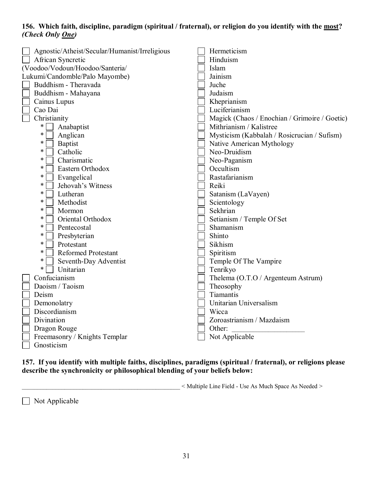#### **156. Which faith, discipline, paradigm (spiritual / fraternal), or religion do you identify with the most?**  *(Check Only One)*

| Agnostic/Atheist/Secular/Humanist/Irreligious | Hermeticism                                   |
|-----------------------------------------------|-----------------------------------------------|
| African Syncretic                             | Hinduism                                      |
| (Voodoo/Vodoun/Hoodoo/Santeria/               | Islam                                         |
| Lukumi/Candomble/Palo Mayombe)                | Jainism                                       |
| Buddhism - Theravada                          | Juche                                         |
| Buddhism - Mahayana                           | Judaism                                       |
| Cainus Lupus                                  | Kheprianism                                   |
| Cao Dai                                       | Luciferianism                                 |
| Christianity                                  | Magick (Chaos / Enochian / Grimoire / Goetic) |
| $\ast$<br>Anabaptist                          | Mithrianism / Kalistree                       |
| $\ast$<br>Anglican                            | Mysticism (Kabbalah / Rosicrucian / Sufism)   |
| $\ast$<br><b>Baptist</b>                      | Native American Mythology                     |
| $\ast$<br>Catholic                            | Neo-Druidism                                  |
| ∗<br>Charismatic                              | Neo-Paganism                                  |
| *<br>Eastern Orthodox                         | Occultism                                     |
| *<br>Evangelical                              | Rastafarianism                                |
| $\ast$<br>Jehovah's Witness                   | Reiki                                         |
| ∗<br>Lutheran                                 | Satanism (LaVayen)                            |
| *<br>Methodist                                | Scientology                                   |
| *<br>Mormon                                   | Sekhrian                                      |
| Oriental Orthodox<br>*                        | Setianism / Temple Of Set                     |
| ∗<br>Pentecostal                              | Shamanism                                     |
| *<br>Presbyterian                             | Shinto                                        |
| $\ast$<br>Protestant                          | Sikhism                                       |
| Reformed Protestant<br>*                      | Spiritism                                     |
| ∗<br>Seventh-Day Adventist                    | Temple Of The Vampire                         |
| Unitarian<br>$\ast$                           | Tenrikyo                                      |
| Confucianism                                  | Thelema (O.T.O / Argenteum Astrum)            |
| Daoism / Taoism                               | Theosophy                                     |
| Deism                                         | Tiamantis                                     |
| Demonolatry                                   | Unitarian Universalism                        |
| Discordianism                                 | Wicca                                         |
| Divination                                    | Zoroastrianism / Mazdaism                     |
| Dragon Rouge                                  | Other:                                        |
| Freemasonry / Knights Templar                 | Not Applicable                                |
| Gnosticism                                    |                                               |
|                                               |                                               |

**157. If you identify with multiple faiths, disciplines, paradigms (spiritual / fraternal), or religions please describe the synchronicity or philosophical blending of your beliefs below:**

\_\_\_\_\_\_\_\_\_\_\_\_\_\_\_\_\_\_\_\_\_\_\_\_\_\_\_\_\_\_\_\_\_\_\_\_\_\_\_\_\_\_\_\_\_\_\_\_\_\_\_\_ < Multiple Line Field - Use As Much Space As Needed >

Not Applicable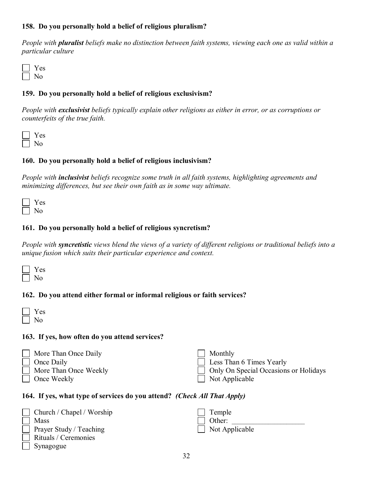#### **158. Do you personally hold a belief of religious pluralism?**

*People with pluralist beliefs make no distinction between faith systems, viewing each one as valid within a particular culture*

| c<br>═ |
|--------|
|        |

#### **159. Do you personally hold a belief of religious exclusivism?**

*People with exclusivist beliefs typically explain other religions as either in error, or as corruptions or counterfeits of the true faith.* 

| ÷<br>═ |
|--------|
| ۱      |

#### **160. Do you personally hold a belief of religious inclusivism?**

*People with inclusivist beliefs recognize some truth in all faith systems, highlighting agreements and minimizing differences, but see their own faith as in some way ultimate.*

| o. |
|----|
|    |

#### **161. Do you personally hold a belief of religious syncretism?**

*People with syncretistic views blend the views of a variety of different religions or traditional beliefs into a unique fusion which suits their particular experience and context.*

#### **162. Do you attend either formal or informal religious or faith services?**

#### **163. If yes, how often do you attend services?**

| $\Box$ More Than Once Daily  | Monthly                                      |
|------------------------------|----------------------------------------------|
| $\Box$ Once Daily            | $\Box$ Less Than 6 Times Yearly              |
| $\Box$ More Than Once Weekly | $\Box$ Only On Special Occasions or Holidays |
| $\Box$ Once Weekly           | Not Applicable                               |

#### **164. If yes, what type of services do you attend?** *(Check All That Apply)*

| Church / Chapel / Worship      | $\vert$ Temple        |
|--------------------------------|-----------------------|
| Mass                           | $\vert$ Other:        |
| $\Box$ Prayer Study / Teaching | $\Box$ Not Applicable |
| $\Box$ Rituals / Ceremonies    |                       |
| $\vert$ Synagogue              |                       |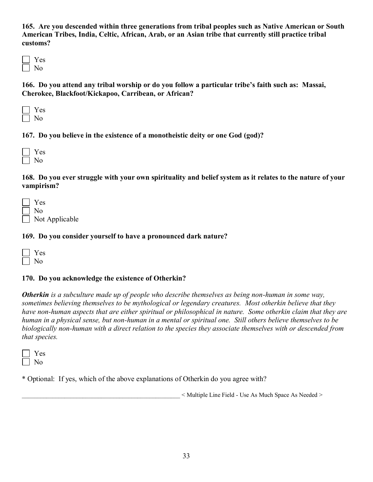**165. Are you descended within three generations from tribal peoples such as Native American or South American Tribes, India, Celtic, African, Arab, or an Asian tribe that currently still practice tribal customs?**

**166. Do you attend any tribal worship or do you follow a particular tribe's faith such as: Massai, Cherokee, Blackfoot/Kickapoo, Carribean, or African?**

**167. Do you believe in the existence of a monotheistic deity or one God (god)?**

| ÷<br>− |
|--------|
|        |

**168. Do you ever struggle with your own spirituality and belief system as it relates to the nature of your vampirism?**

| Yes                   |
|-----------------------|
| $\Box$ No             |
| $\Box$ Not Applicable |

#### **169. Do you consider yourself to have a pronounced dark nature?**

#### **170. Do you acknowledge the existence of Otherkin?**

*Otherkin is a subculture made up of people who describe themselves as being non-human in some way, sometimes believing themselves to be mythological or legendary creatures. Most otherkin believe that they have non-human aspects that are either spiritual or philosophical in nature. Some otherkin claim that they are human in a physical sense, but non-human in a mental or spiritual one. Still others believe themselves to be biologically non-human with a direct relation to the species they associate themselves with or descended from that species.*

\* Optional: If yes, which of the above explanations of Otherkin do you agree with?

\_\_\_\_\_\_\_\_\_\_\_\_\_\_\_\_\_\_\_\_\_\_\_\_\_\_\_\_\_\_\_\_\_\_\_\_\_\_\_\_\_\_\_\_\_\_\_\_\_\_\_\_ < Multiple Line Field - Use As Much Space As Needed >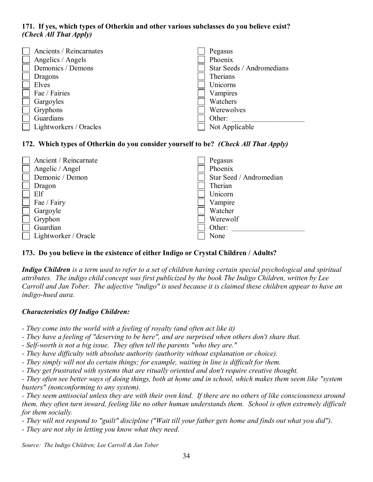#### **171. If yes, which types of Otherkin and other various subclasses do you believe exist?**  *(Check All That Apply)*

| Ancients / Reincarnates<br>Angelics / Angels<br>Demonics / Demons<br>Dragons<br>Elves<br>Fae / Fairies<br>Gargoyles |  | Pegasus<br>Phoenix<br>Star Seeds / Andromedians<br>Therians<br>Unicorns<br>Vampires<br>Watchers |
|---------------------------------------------------------------------------------------------------------------------|--|-------------------------------------------------------------------------------------------------|
| Gryphons                                                                                                            |  | Werewolves                                                                                      |
| Guardians<br>Lightworkers / Oracles                                                                                 |  | Other:<br>Not Applicable                                                                        |

### **172. Which types of Otherkin do you consider yourself to be?** *(Check All That Apply)*

| Ancient / Reincarnate | Pegasus                 |
|-----------------------|-------------------------|
| Angelic / Angel       | Phoenix                 |
| Demonic / Demon       | Star Seed / Andromedian |
| Dragon                | Therian                 |
| Elf                   | Unicorn                 |
| Fae / Fairy           | Vampire                 |
| Gargoyle              | Watcher                 |
| Gryphon               | Werewolf                |
| Guardian              | Other:                  |
| Lightworker / Oracle  | None                    |

#### **173. Do you believe in the existence of either Indigo or Crystal Children / Adults?**

*Indigo Children is a term used to refer to a set of children having certain special psychological and spiritual attributes. The indigo child concept was first publicized by the book The Indigo Children, written by Lee Carroll and Jan Tober. The adjective "indigo" is used because it is claimed these children appear to have an indigo-hued aura.*

#### *Characteristics Of Indigo Children:*

- *- They come into the world with a feeling of royalty (and often act like it)*
- *They have a feeling of "deserving to be here", and are surprised when others don't share that.*
- *Self-worth is not a big issue. They often tell the parents "who they are."*
- *They have difficulty with absolute authority (authority without explanation or choice).*
- *They simply will not do certain things; for example, waiting in line is difficult for them.*
- *They get frustrated with systems that are ritually oriented and don't require creative thought.*

*- They often see better ways of doing things, both at home and in school, which makes them seem like "system busters" (nonconforming to any system).*

*- They seem antisocial unless they are with their own kind. If there are no others of like consciousness around them, they often turn inward, feeling like no other human understands them. School is often extremely difficult for them socially.*

*- They will not respond to "guilt" discipline ("Wait till your father gets home and finds out what you did").*

*- They are not shy in letting you know what they need.*

*Source: The Indigo Children; Lee Carroll & Jan Tober*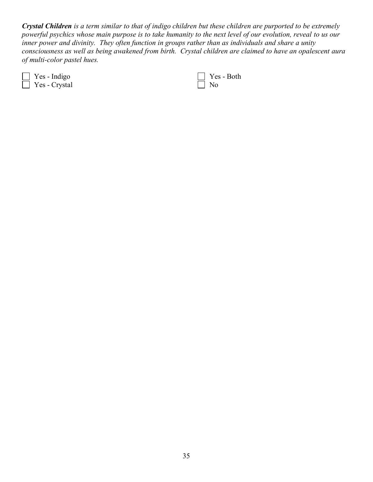*Crystal Children is a term similar to that of indigo children but these children are purported to be extremely powerful psychics whose main purpose is to take humanity to the next level of our evolution, reveal to us our inner power and divinity. They often function in groups rather than as individuals and share a unity consciousness as well as being awakened from birth. Crystal children are claimed to have an opalescent aura of multi-color pastel hues.*

 Yes - Indigo Yes - Crystal

 Yes - Both No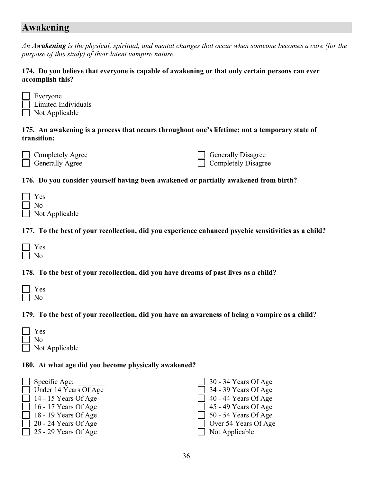# **Awakening**

*An Awakening is the physical, spiritual, and mental changes that occur when someone becomes aware (for the purpose of this study) of their latent vampire nature.*

#### **174. Do you believe that everyone is capable of awakening or that only certain persons can ever accomplish this?**

| $\Box$ Everyone       |
|-----------------------|
| Limited Individuals   |
| $\Box$ Not Applicable |

#### **175. An awakening is a process that occurs throughout one's lifetime; not a temporary state of transition:**

mpletely Agree Generally Agree

| $\Box$ Generally Disagree  |
|----------------------------|
| $\Box$ Completely Disagree |

### **176. Do you consider yourself having been awakened or partially awakened from birth?**

| <b>Yes</b>            |
|-----------------------|
| -No                   |
| $\Box$ Not Applicable |

### **177. To the best of your recollection, did you experience enhanced psychic sensitivities as a child?**

# **178. To the best of your recollection, did you have dreams of past lives as a child?**

| 2<br>═ |
|--------|
|        |

## **179. To the best of your recollection, did you have an awareness of being a vampire as a child?**

| <b>Yes</b>     |
|----------------|
| No             |
| Not Applicable |

#### **180. At what age did you become physically awakened?**

| 30 - 34 Years Of Age<br>Specific Age:                 |  |
|-------------------------------------------------------|--|
| 34 - 39 Years Of Age<br>Under 14 Years Of Age         |  |
| 40 - 44 Years Of Age<br>14 - 15 Years Of Age          |  |
| 45 - 49 Years Of Age<br>16 - 17 Years Of Age          |  |
| 50 - 54 Years Of Age<br>18 - 19 Years Of Age          |  |
| $\Box$ Over 54 Years Of Age<br>  20 - 24 Years Of Age |  |
| $\perp$ 25 - 29 Years Of Age<br>Not Applicable        |  |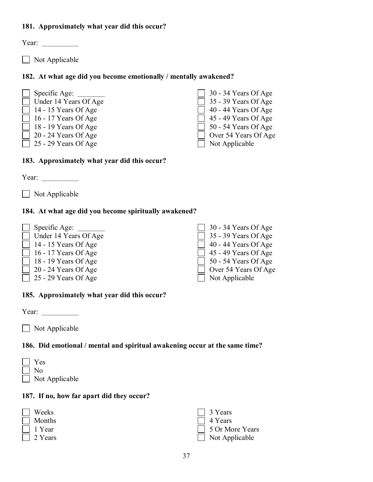## **181. Approximately what year did this occur?**

Year:  $\frac{1}{\sqrt{1-\frac{1}{2}} \cdot \frac{1}{\sqrt{1-\frac{1}{2}} \cdot \frac{1}{2}} \cdot \frac{1}{\sqrt{1-\frac{1}{2}} \cdot \frac{1}{2}}$ 

 $\Box$  Not Applicable

### **182. At what age did you become emotionally / mentally awakened?**

 $\Box$  Specific Age:  $\Box$ Under 14 Years Of Age  $\Box$  14 - 15 Years Of Age  $\Box$  16 - 17 Years Of Age 18 - 19 Years Of Age 20 - 24 Years Of Age  $\Box$  25 - 29 Years Of Age

| 30 - 34 Years Of Age |
|----------------------|
| 35 - 39 Years Of Age |
| 40 - 44 Years Of Age |
| 45 - 49 Years Of Age |
| 50 - 54 Years Of Age |
| Over 54 Years Of Age |
| Not Applicable       |

## **183. Approximately what year did this occur?**

Year:

Not Applicable

## **184. At what age did you become spiritually awakened?**

| $\Box$ Specific Age:         | $\Box$ 30 - 34 Years Of Age |
|------------------------------|-----------------------------|
| $\Box$ Under 14 Years Of Age | $\Box$ 35 - 39 Years Of Age |
| $\Box$ 14 - 15 Years Of Age  | $\Box$ 40 - 44 Years Of Age |
| $\Box$ 16 - 17 Years Of Age  | $\Box$ 45 - 49 Years Of Age |
| $\Box$ 18 - 19 Years Of Age  | $\Box$ 50 - 54 Years Of Age |
| $\Box$ 20 - 24 Years Of Age  | $\Box$ Over 54 Years Of Age |
| $\Box$ 25 - 29 Years Of Age  | $\Box$ Not Applicable       |

#### **185. Approximately what year did this occur?**

Year:

 $\Box$  Not Applicable

## **186. Did emotional / mental and spiritual awakening occur at the same time?**

| $\Box$ | Yes                   |
|--------|-----------------------|
|        | $\vert$   No          |
|        | $\Box$ Not Applicable |

#### **187. If no, how far apart did they occur?**

| $\Box$ Weeks   | $\Box$ 3 Years        |
|----------------|-----------------------|
| $\Box$ Months  | $\Box$ 4 Years        |
| $\Box$ 1 Year  | □ 5 Or More Years     |
| $\Box$ 2 Years | $\Box$ Not Applicable |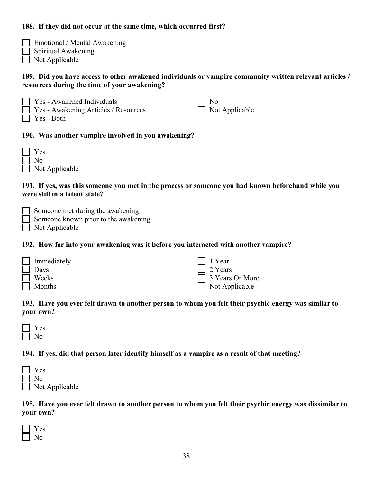## **188. If they did not occur at the same time, which occurred first?**

| Emotional / Mental Awakening |
|------------------------------|
| $\Box$ Spiritual Awakening   |

Not Applicable

## **189. Did you have access to other awakened individuals or vampire community written relevant articles / resources during the time of your awakening?**

 Yes - Awakened Individuals Yes - Awakening Articles / Resources No

| es | <b>Both</b> |
|----|-------------|
|    |             |

Г

Not Applicable

## **190. Was another vampire involved in you awakening?**

| Yes            |
|----------------|
| No.            |
| Not Applicable |

### **191. If yes, was this someone you met in the process or someone you had known beforehand while you were still in a latent state?**

|  |  | Someone met during the awakening |
|--|--|----------------------------------|
|  |  |                                  |

- Someone known prior to the awakening
- Not Applicable

### **192. How far into your awakening was it before you interacted with another vampire?**

| Immediately | $\Box$ 1 Year         |
|-------------|-----------------------|
| $\Box$ Days | $\Box$ 2 Years        |
| Weeks       | 3 Years Or More       |
| Months      | $\Box$ Not Applicable |

#### **193. Have you ever felt drawn to another person to whom you felt their psychic energy was similar to your own?**

## **194. If yes, did that person later identify himself as a vampire as a result of that meeting?**

| $\blacksquare$ | Yes                   |
|----------------|-----------------------|
|                | N <sub>0</sub>        |
|                | $\Box$ Not Applicable |

#### **195. Have you ever felt drawn to another person to whom you felt their psychic energy was dissimilar to your own?**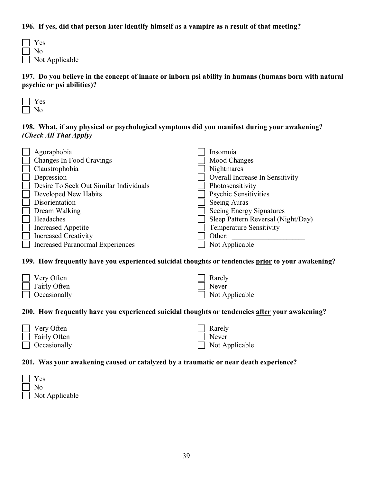## **196. If yes, did that person later identify himself as a vampire as a result of that meeting?**

| $\Box$ | Yes                   |
|--------|-----------------------|
|        | $\vert$   No          |
|        | $\Box$ Not Applicable |

**197. Do you believe in the concept of innate or inborn psi ability in humans (humans born with natural psychic or psi abilities)?**

## **198. What, if any physical or psychological symptoms did you manifest during your awakening?**  *(Check All That Apply)*

| Agoraphobia                             | Insomnia                           |
|-----------------------------------------|------------------------------------|
| Changes In Food Cravings                | Mood Changes                       |
| Claustrophobia                          | Nightmares                         |
| Depression                              | Overall Increase In Sensitivity    |
| Desire To Seek Out Similar Individuals  | Photosensitivity                   |
| Developed New Habits                    | <b>Psychic Sensitivities</b>       |
| Disorientation                          | Seeing Auras                       |
| Dream Walking                           | Seeing Energy Signatures           |
| Headaches                               | Sleep Pattern Reversal (Night/Day) |
| <b>Increased Appetite</b>               | <b>Temperature Sensitivity</b>     |
| <b>Increased Creativity</b>             | Other:                             |
| <b>Increased Paranormal Experiences</b> | Not Applicable                     |

#### **199. How frequently have you experienced suicidal thoughts or tendencies prior to your awakening?**

| $\Box$ Very Often   | $\Box$ Rarely         |
|---------------------|-----------------------|
| $\Box$ Fairly Often | $\Box$ Never          |
| $\Box$ Occasionally | $\Box$ Not Applicable |

## **200. How frequently have you experienced suicidal thoughts or tendencies after your awakening?**

| $\Box$ Very Often   | $\Box$ Rarely         |
|---------------------|-----------------------|
| $\Box$ Fairly Often | $\Box$ Never          |
| $\Box$ Occasionally | $\Box$ Not Applicable |

#### **201. Was your awakening caused or catalyzed by a traumatic or near death experience?**

| $\mathbf{L}$ | Yes                   |
|--------------|-----------------------|
|              | $\vert$   No          |
|              | $\Box$ Not Applicable |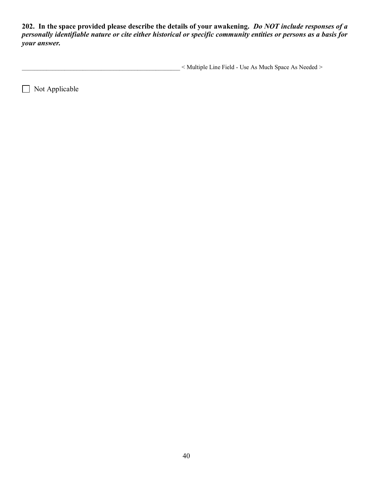**202. In the space provided please describe the details of your awakening.** *Do NOT include responses of a personally identifiable nature or cite either historical or specific community entities or persons as a basis for your answer.*

\_\_\_\_\_\_\_\_\_\_\_\_\_\_\_\_\_\_\_\_\_\_\_\_\_\_\_\_\_\_\_\_\_\_\_\_\_\_\_\_\_\_\_\_\_\_\_\_\_\_\_\_ < Multiple Line Field - Use As Much Space As Needed >

Not Applicable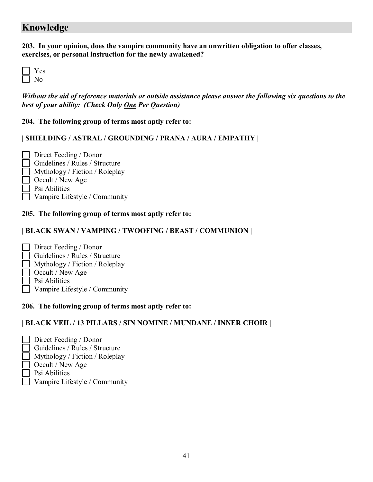# **Knowledge**

**203. In your opinion, does the vampire community have an unwritten obligation to offer classes, exercises, or personal instruction for the newly awakened?**

*Without the aid of reference materials or outside assistance please answer the following six questions to the best of your ability: (Check Only One Per Question)*

**204. The following group of terms most aptly refer to:**

#### **| SHIELDING / ASTRAL / GROUNDING / PRANA / AURA / EMPATHY |**

- Direct Feeding / Donor Guidelines / Rules / Structure Mythology / Fiction / Roleplay Occult / New Age Psi Abilities
- Vampire Lifestyle / Community

## **205. The following group of terms most aptly refer to:**

## **| BLACK SWAN / VAMPING / TWOOFING / BEAST / COMMUNION |**

- Direct Feeding / Donor
- Guidelines / Rules / Structure
- Mythology / Fiction / Roleplay
- Occult / New Age
- Psi Abilities
- Vampire Lifestyle / Community

#### **206. The following group of terms most aptly refer to:**

## **| BLACK VEIL / 13 PILLARS / SIN NOMINE / MUNDANE / INNER CHOIR |**

- Direct Feeding / Donor
- Guidelines / Rules / Structure
- Mythology / Fiction / Roleplay
- Occult / New Age
- Psi Abilities
- Vampire Lifestyle / Community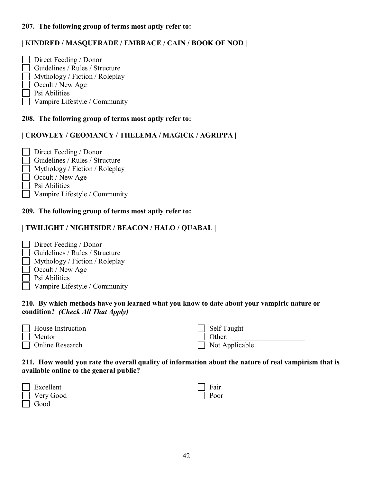## **207. The following group of terms most aptly refer to:**

## **| KINDRED / MASQUERADE / EMBRACE / CAIN / BOOK OF NOD |**

 Direct Feeding / Donor Guidelines / Rules / Structure Mythology / Fiction / Roleplay Occult / New Age Psi Abilities Vampire Lifestyle / Community

#### **208. The following group of terms most aptly refer to:**

#### **| CROWLEY / GEOMANCY / THELEMA / MAGICK / AGRIPPA |**

- Direct Feeding / Donor Guidelines / Rules / Structure  $\Box$  Mythology / Fiction / Roleplay Occult / New Age
- Psi Abilities
- Vampire Lifestyle / Community

#### **209. The following group of terms most aptly refer to:**

#### **| TWILIGHT / NIGHTSIDE / BEACON / HALO / QUABAL |**

- Direct Feeding / Donor
- Guidelines / Rules / Structure Mythology / Fiction / Roleplay
- Occult / New Age
- Psi Abilities
- 
- Vampire Lifestyle / Community

#### **210. By which methods have you learned what you know to date about your vampiric nature or condition?** *(Check All That Apply)*

| <b>House Instruction</b> |
|--------------------------|
| Mentor                   |
| Online Research          |

| Self Taught    |
|----------------|
| Other:         |
| Not Applicable |

#### **211. How would you rate the overall quality of information about the nature of real vampirism that is available online to the general public?**

| $\Box$ Excellent | $\Box$ Fair |
|------------------|-------------|
| $\Box$ Very Good | $\Box$ Poor |
| $\Box$ Good      |             |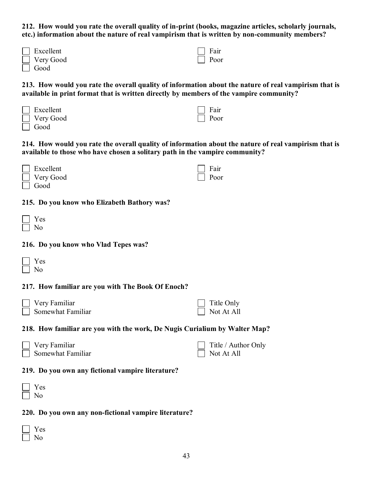**212. How would you rate the overall quality of in-print (books, magazine articles, scholarly journals, etc.) information about the nature of real vampirism that is written by non-community members?**

> Fair Poor

 Fair Poor

| Excellent |
|-----------|
| Very Good |
| Good      |

| 213. How would you rate the overall quality of information about the nature of real vampirism that is |
|-------------------------------------------------------------------------------------------------------|
| available in print format that is written directly by members of the vampire community?               |

 Excellent Very Good Good

**214. How would you rate the overall quality of information about the nature of real vampirism that is available to those who have chosen a solitary path in the vampire community?**

| $\Box$ Excellent | $\Box$ Fair |
|------------------|-------------|
| $\Box$ Very Good | $\Box$ Poor |

**215. Do you know who Elizabeth Bathory was?**

| O.<br>− |
|---------|
|         |

Good

#### **216. Do you know who Vlad Tepes was?**

| − |
|---|
|   |

#### **217. How familiar are you with The Book Of Enoch?**

| $\Box$ Very Familiar     | $\Box$ Title Only |
|--------------------------|-------------------|
| $\Box$ Somewhat Familiar | $\Box$ Not At All |

#### **218. How familiar are you with the work, De Nugis Curialium by Walter Map?**

| $\Box$ Very Familiar | $\Box$ Title / Author Only |
|----------------------|----------------------------|
| Somewhat Familiar    | $\vert$ Not At All         |

#### **219. Do you own any fictional vampire literature?**

| ÷<br>═ |
|--------|
| 1      |

#### **220. Do you own any non-fictional vampire literature?**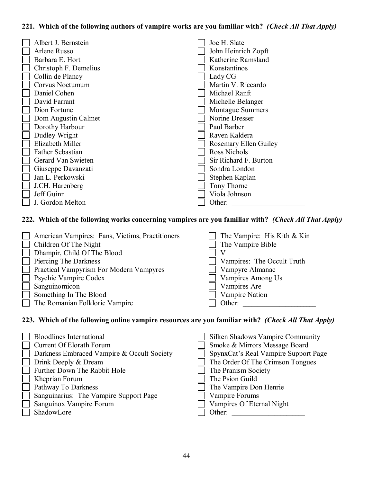## **221. Which of the following authors of vampire works are you familiar with?** *(Check All That Apply)*

| Albert J. Bernstein   |  | Joe H. Slate            |
|-----------------------|--|-------------------------|
| Arlene Russo          |  | John Heinrich Zopft     |
| Barbara E. Hort       |  | Katherine Ramsland      |
| Christoph F. Demelius |  | Konstantinos            |
| Collin de Plancy      |  | Lady CG                 |
| Corvus Noctumum       |  | Martin V. Riccardo      |
| Daniel Cohen          |  | Michael Ranft           |
| David Farrant         |  | Michelle Belanger       |
| Dion Fortune          |  | <b>Montague Summers</b> |
| Dom Augustin Calmet   |  | Norine Dresser          |
| Dorothy Harbour       |  | Paul Barber             |
| Dudley Wright         |  | Raven Kaldera           |
| Elizabeth Miller      |  | Rosemary Ellen Guiley   |
| Father Sebastian      |  | Ross Nichols            |
| Gerard Van Swieten    |  | Sir Richard F. Burton   |
| Giuseppe Davanzati    |  | Sondra London           |
| Jan L. Perkowski      |  | Stephen Kaplan          |
| J.CH. Harenberg       |  | Tony Thorne             |
| Jeff Guinn            |  | Viola Johnson           |
| J. Gordon Melton      |  | Other:                  |

## **222. Which of the following works concerning vampires are you familiar with?** *(Check All That Apply)*

| American Vampires: Fans, Victims, Practitioners          | The Vampire: His Kith & Kin |
|----------------------------------------------------------|-----------------------------|
| Children Of The Night                                    | The Vampire Bible           |
| Dhampir, Child Of The Blood                              |                             |
| $\Box$ Piercing The Darkness                             | Vampires: The Occult Truth  |
| <b>Practical Vampyrism For Modern Vampyres</b><br>$\Box$ | Vampyre Almanac             |
| <b>Psychic Vampire Codex</b>                             | Vampires Among Us           |
| Sanguinomicon                                            | Vampires Are                |
| Something In The Blood                                   | Vampire Nation              |
| The Romanian Folkloric Vampire                           | Other:                      |

## **223. Which of the following online vampire resources are you familiar with?** *(Check All That Apply)*

| <b>Bloodlines International</b><br><b>Current Of Elorath Forum</b><br>Darkness Embraced Vampire & Occult Society | Silken Shadows Vampire Community<br>Smoke & Mirrors Message Board<br>SpynxCat's Real Vampire Support Page |
|------------------------------------------------------------------------------------------------------------------|-----------------------------------------------------------------------------------------------------------|
| Drink Deeply & Dream                                                                                             | The Order Of The Crimson Tongues                                                                          |
| Further Down The Rabbit Hole                                                                                     | The Pranism Society                                                                                       |
| Kheprian Forum                                                                                                   | The Psion Guild                                                                                           |
| Pathway To Darkness                                                                                              | The Vampire Don Henrie                                                                                    |
| Sanguinarius: The Vampire Support Page                                                                           | Vampire Forums                                                                                            |
| Sanguinox Vampire Forum                                                                                          | Vampires Of Eternal Night                                                                                 |
| ShadowLore                                                                                                       | Other:                                                                                                    |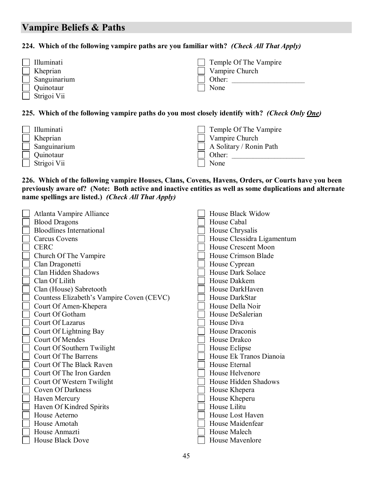# **Vampire Beliefs & Paths**

## **224. Which of the following vampire paths are you familiar with?** *(Check All That Apply)*

| Illuminati   | Temple Of The Vampire |
|--------------|-----------------------|
| Kheprian     | Vampire Church        |
| Sanguinarium | Other:                |
| Quinotaur    | None                  |
| Strigoi Vii  |                       |

#### **225. Which of the following vampire paths do you most closely identify with?** *(Check Only One)*

| Illuminati    | $\Box$ Temple Of The Vampire   |
|---------------|--------------------------------|
| Kheprian      | Vampire Church                 |
| Sanguinarium  | $\Box$ A Solitary / Ronin Path |
| Quinotaur     | Other:                         |
| ∫ Strigoi Vii | None                           |

#### **226. Which of the following vampire Houses, Clans, Covens, Havens, Orders, or Courts have you been previously aware of? (Note: Both active and inactive entities as well as some duplications and alternate name spellings are listed.)** *(Check All That Apply)*

| Atlanta Vampire Alliance                  | House Black Widow          |
|-------------------------------------------|----------------------------|
| <b>Blood Dragons</b>                      | House Cabal                |
| <b>Bloodlines International</b>           | House Chrysalis            |
| <b>Carcus Covens</b>                      | House Clessidra Ligamentum |
| <b>CERC</b>                               | House Crescent Moon        |
| Church Of The Vampire                     | House Crimson Blade        |
| Clan Dragonetti                           | House Cyprean              |
| Clan Hidden Shadows                       | <b>House Dark Solace</b>   |
| Clan Of Lilith                            | House Dakkem               |
| Clan (House) Sabretooth                   | House DarkHaven            |
| Countess Elizabeth's Vampire Coven (CEVC) | House DarkStar             |
| Court Of Amen-Khepera                     | House Della Noir           |
| Court Of Gotham                           | House DeSalerian           |
| Court Of Lazarus                          | House Diva                 |
| Court Of Lightning Bay                    | House Draconis             |
| Court Of Mendes                           | House Drakco               |
| Court Of Southern Twilight                | House Eclipse              |
| <b>Court Of The Barrens</b>               | House Ek Tranos Dianoia    |
| Court Of The Black Raven                  | House Eternal              |
| Court Of The Iron Garden                  | House Helvenore            |
| Court Of Western Twilight                 | House Hidden Shadows       |
| <b>Coven Of Darkness</b>                  | House Khepera              |
| Haven Mercury                             | House Kheperu              |
| Haven Of Kindred Spirits                  | House Lilitu               |
| House Aeterno                             | House Lost Haven           |
| House Amotah                              | House Maidenfear           |
| House Anmazti                             | House Malech               |
| <b>House Black Dove</b>                   | House Mavenlore            |
|                                           |                            |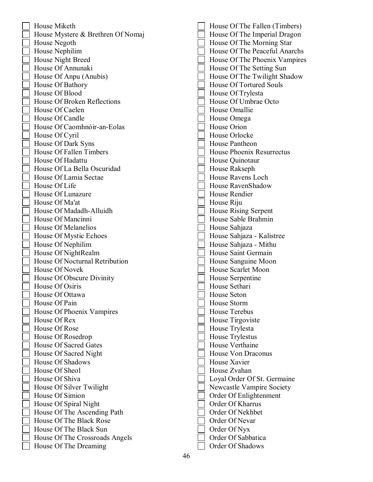| House Miketh                      | House Of The Fallen (Timbers)  |
|-----------------------------------|--------------------------------|
| House Mystere & Brethren Of Nomaj | House Of The Imperial Dragon   |
| House Negoth                      | House Of The Morning Star      |
| House Nephilim                    | House Of The Peaceful Anarchs  |
| House Night Breed                 | House Of The Phoenix Vampires  |
| House Of Annunaki                 | House Of The Setting Sun       |
| House Of Anpu (Anubis)            | House Of The Twilight Shadow   |
| House Of Bathory                  | <b>House Of Tortured Souls</b> |
| House Of Blood                    | House Of Trylesta              |
| House Of Broken Reflections       | House Of Umbrae Octo           |
| House Of Caelen                   | House Omallie                  |
| House Of Candle                   | House Omega                    |
| House Of Caomhnóir-an-Eolas       | House Orion                    |
| House Of Cyril                    | House Orlocke                  |
| House Of Dark Syns                | House Pantheon                 |
| House Of Fallen Timbers           | House Phoenix Resurrectus      |
| House Of Hadattu                  | House Quinotaur                |
| House Of La Bella Oscuridad       | House Rakseph                  |
| House Of Lamia Sectae             | House Ravens Loch              |
| House Of Life                     | House RavenShadow              |
| House Of Lunazure                 | House Rendier                  |
| House Of Ma'at                    | House Riju                     |
| House Of Madadh-Alluidh           | House Rising Serpent           |
| House Of Mancinni                 | House Sable Brahmin            |
| House Of Melanelios               | House Sahjaza                  |
| House Of Mystic Echoes            | House Sahjaza - Kalistree      |
| House Of Nephilim                 | House Sahjaza - Mithu          |
| House Of NightRealm               | House Saint Germain            |
| House Of Nocturnal Retribution    | House Sanguine Moon            |
| House Of Novek                    | House Scarlet Moon             |
| House Of Obscure Divinity         | House Serpentine               |
| House Of Osiris                   | House Sethari                  |
| House Of Ottawa                   | House Seton                    |
| House Of Pain                     | House Storm                    |
| House Of Phoenix Vampires         | <b>House Terebus</b>           |
| House Of Rex                      | House Tirgoviste               |
| House Of Rose                     | House Trylesta                 |
| House Of Rosedrop                 | <b>House Trylestus</b>         |
| House Of Sacred Gates             | House Verthaine                |
| House Of Sacred Night             | <b>House Von Draconus</b>      |
| House Of Shadows                  | House Xavier                   |
| House Of Sheol                    | House Zvahan                   |
| House Of Shiva                    | Loyal Order Of St. Germaine    |
| House Of Silver Twilight          | Newcastle Vampire Society      |
| House Of Simion                   | Order Of Enlightenment         |
| House Of Spiral Night             | Order Of Kharrus               |
| House Of The Ascending Path       | Order Of Nekhbet               |
| House Of The Black Rose           | Order Of Nevar                 |
| House Of The Black Sun            | Order Of Nyx                   |
| House Of The Crossroads Angels    | Order Of Sabbatica             |
| House Of The Dreaming             | Order Of Shadows               |
|                                   |                                |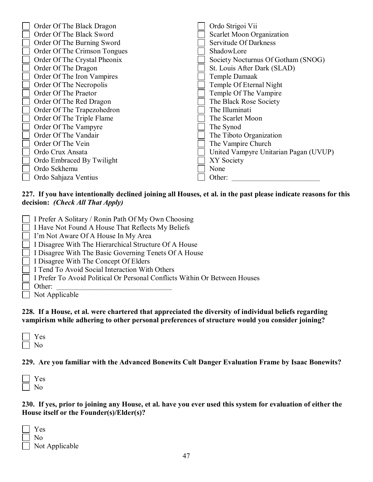| Order Of The Black Dragon    | Ordo Strigoi Vii                      |
|------------------------------|---------------------------------------|
| Order Of The Black Sword     | Scarlet Moon Organization             |
| Order Of The Burning Sword   | Servitude Of Darkness                 |
| Order Of The Crimson Tongues | ShadowLore                            |
| Order Of The Crystal Pheonix | Society Nocturnus Of Gotham (SNOG)    |
| Order Of The Dragon          | St. Louis After Dark (SLAD)           |
| Order Of The Iron Vampires   | Temple Damaak                         |
| Order Of The Necropolis      | Temple Of Eternal Night               |
| Order Of The Praetor         | Temple Of The Vampire                 |
| Order Of The Red Dragon      | The Black Rose Society                |
| Order Of The Trapezohedron   | The Illuminati                        |
| Order Of The Triple Flame    | The Scarlet Moon                      |
| Order Of The Vampyre         | The Synod                             |
| Order Of The Vandair         | The Tiboto Organization               |
| Order Of The Vein            | The Vampire Church                    |
| Ordo Crux Ansata             | United Vampyre Unitarian Pagan (UVUP) |
| Ordo Embraced By Twilight    | XY Society                            |
| Ordo Sekhemu                 | None                                  |
| Ordo Sahjaza Ventius         | Other:                                |
|                              |                                       |

#### **227. If you have intentionally declined joining all Houses, et al. in the past please indicate reasons for this decision:** *(Check All That Apply)*

- I Prefer A Solitary / Ronin Path Of My Own Choosing
- I Have Not Found A House That Reflects My Beliefs
- I'm Not Aware Of A House In My Area
- I Disagree With The Hierarchical Structure Of A House
- I Disagree With The Basic Governing Tenets Of A House
- I Disagree With The Concept Of Elders
- I Tend To Avoid Social Interaction With Others
- I Prefer To Avoid Political Or Personal Conflicts Within Or Between Houses
- Other:

Not Applicable

**228. If a House, et al. were chartered that appreciated the diversity of individual beliefs regarding vampirism while adhering to other personal preferences of structure would you consider joining?**

| es |
|----|
| ገ  |

**229. Are you familiar with the Advanced Bonewits Cult Danger Evaluation Frame by Isaac Bonewits?**

| c<br>≂ |
|--------|
| ١      |

**230. If yes, prior to joining any House, et al. have you ever used this system for evaluation of either the House itself or the Founder(s)/Elder(s)?**

 Yes No Not Applicable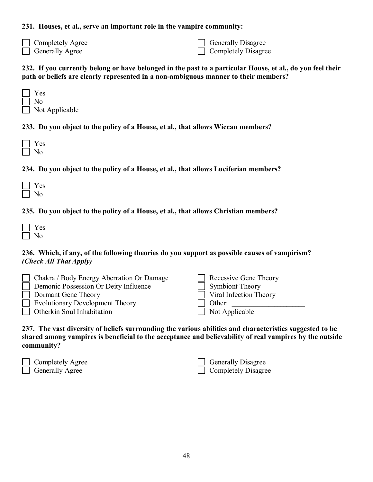#### **231. Houses, et al., serve an important role in the vampire community:**

| Completely Agree       |
|------------------------|
| $\Box$ Generally Agree |

 Generally Disagree Completely Disagree

#### **232. If you currently belong or have belonged in the past to a particular House, et al., do you feel their path or beliefs are clearly represented in a non-ambiguous manner to their members?**

| $\Box$ | Y es                  |
|--------|-----------------------|
|        | $\vert$   No          |
|        | $\Box$ Not Applicable |

## **233. Do you object to the policy of a House, et al., that allows Wiccan members?**

| Ξ |
|---|
|   |

## **234. Do you object to the policy of a House, et al., that allows Luciferian members?**

## **235. Do you object to the policy of a House, et al., that allows Christian members?**

#### **236. Which, if any, of the following theories do you support as possible causes of vampirism?** *(Check All That Apply)*

| $\Box$ Chakra / Body Energy Aberration Or Damage | Recessive Gene Theory         |
|--------------------------------------------------|-------------------------------|
| <b>Demonic Possession Or Deity Influence</b>     | Symbiont Theory               |
| Dormant Gene Theory                              | $\Box$ Viral Infection Theory |
| $\Box$ Evolutionary Development Theory           | Other:                        |
| $\Box$ Otherkin Soul Inhabitation                | Not Applicable                |

**237. The vast diversity of beliefs surrounding the various abilities and characteristics suggested to be shared among vampires is beneficial to the acceptance and believability of real vampires by the outside community?**

| Completely Agree       |
|------------------------|
| <b>Generally Agree</b> |

| $\Box$ Generally Disagree  |
|----------------------------|
| $\Box$ Completely Disagree |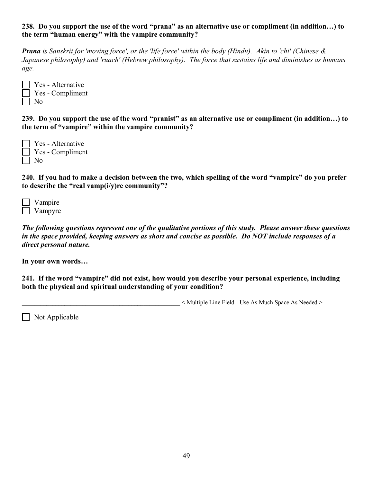#### **238. Do you support the use of the word "prana" as an alternative use or compliment (in addition…) to the term "human energy" with the vampire community?**

*Prana is Sanskrit for 'moving force', or the 'life force' within the body (Hindu). Akin to 'chi' (Chinese & Japanese philosophy) and 'ruach' (Hebrew philosophy). The force that sustains life and diminishes as humans age.*

| $\vert$ Yes - Alternative |
|---------------------------|
| $\vert$ Yes - Compliment  |
| $\vert$   No              |

**239. Do you support the use of the word "pranist" as an alternative use or compliment (in addition…) to the term of "vampire" within the vampire community?**

 Yes - Alternative Yes - Compliment  $\Box$  No

**240. If you had to make a decision between the two, which spelling of the word "vampire" do you prefer to describe the "real vamp(i/y)re community"?**

| Vampire |
|---------|
| Vampyre |

*The following questions represent one of the qualitative portions of this study. Please answer these questions in the space provided, keeping answers as short and concise as possible. Do NOT include responses of a direct personal nature.*

**In your own words…**

**241. If the word "vampire" did not exist, how would you describe your personal experience, including both the physical and spiritual understanding of your condition?** 

 $\leq$  Multiple Line Field - Use As Much Space As Needed  $\geq$ 

 $\Box$  Not Applicable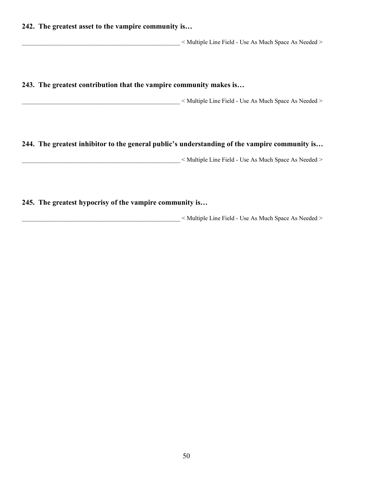#### **242. The greatest asset to the vampire community is…**

\_\_\_\_\_\_\_\_\_\_\_\_\_\_\_\_\_\_\_\_\_\_\_\_\_\_\_\_\_\_\_\_\_\_\_\_\_\_\_\_\_\_\_\_\_\_\_\_\_\_\_\_ < Multiple Line Field - Use As Much Space As Needed >

**243. The greatest contribution that the vampire community makes is…**

 $\leq$  Multiple Line Field - Use As Much Space As Needed  $\geq$ 

#### **244. The greatest inhibitor to the general public's understanding of the vampire community is…**

\_\_\_\_\_\_\_\_\_\_\_\_\_\_\_\_\_\_\_\_\_\_\_\_\_\_\_\_\_\_\_\_\_\_\_\_\_\_\_\_\_\_\_\_\_\_\_\_\_\_\_\_ < Multiple Line Field - Use As Much Space As Needed >

## **245. The greatest hypocrisy of the vampire community is…**

 $\leq$  Multiple Line Field - Use As Much Space As Needed  $\geq$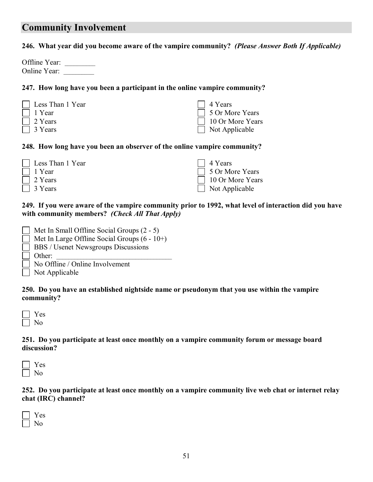## **Community Involvement**

#### **246. What year did you become aware of the vampire community?** *(Please Answer Both If Applicable)*

| Offline Year: |  |
|---------------|--|
| Online Year:  |  |

#### **247. How long have you been a participant in the online vampire community?**

| □ Less Than 1 Year              | 4 Years                                      |
|---------------------------------|----------------------------------------------|
| $\Box$ 1 Year<br>$\Box$ 2 Years | □ 5 Or More Years<br>$\Box$ 10 Or More Years |
| $\Box$ 3 Years                  | $\Box$ Not Applicable                        |

#### **248. How long have you been an observer of the online vampire community?**

| Less Than 1 Year | $\Box$ 4 Years        |
|------------------|-----------------------|
| 1 Year           | □ 5 Or More Years     |
| 2 Years          | 10 Or More Years      |
| 3 Years          | $\Box$ Not Applicable |

## **249. If you were aware of the vampire community prior to 1992, what level of interaction did you have with community members?** *(Check All That Apply)*

| $\vert$   Met In Small Offline Social Groups (2 - 5) |
|------------------------------------------------------|
| $\Box$ Met In Large Offline Social Groups (6 - 10+)  |
| <b>BBS</b> / Usenet Newsgroups Discussions           |
| $\Box$ Other:                                        |
| $\Box$ at $\triangle$ cont $\Box$ at $\Box$ 1        |

No Offline / Online Involvement

 $\Box$  Not Applicable

#### **250. Do you have an established nightside name or pseudonym that you use within the vampire community?**

| ÷.<br>⊢ |
|---------|
| ን       |

#### **251. Do you participate at least once monthly on a vampire community forum or message board discussion?**



#### **252. Do you participate at least once monthly on a vampire community live web chat or internet relay chat (IRC) channel?**

| - |
|---|
|   |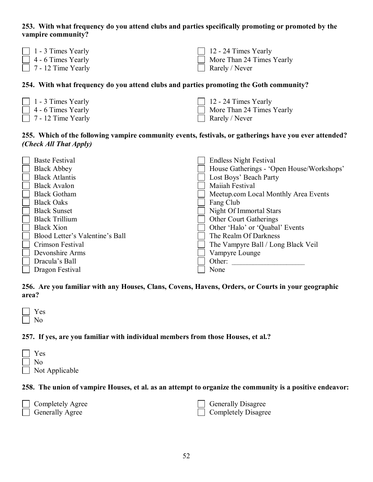## **253. With what frequency do you attend clubs and parties specifically promoting or promoted by the vampire community?**

| $\vert$ 1 - 3 Times Yearly | $\Box$ 12 - 24 Times Yearly |
|----------------------------|-----------------------------|
| $\Box$ 4 - 6 Times Yearly  | More Than 24 Times Yearly   |
| $\Box$ 7 - 12 Time Yearly  | Rarely / Never              |

## **254. With what frequency do you attend clubs and parties promoting the Goth community?**

| $\boxed{\phantom{1}}$ 1 - 3 Times Yearly | $\Box$ 12 - 24 Times Yearly |
|------------------------------------------|-----------------------------|
| $\vert$ 4 - 6 Times Yearly               | More Than 24 Times Yearly   |
| $\vert$ 7 - 12 Time Yearly               | $\Box$ Rarely / Never       |

## **255. Which of the following vampire community events, festivals, or gatherings have you ever attended?**  *(Check All That Apply)*

| <b>Baste Festival</b>           | <b>Endless Night Festival</b>             |
|---------------------------------|-------------------------------------------|
| <b>Black Abbey</b>              | House Gatherings - 'Open House/Workshops' |
| <b>Black Atlantis</b>           | Lost Boys' Beach Party                    |
| <b>Black Avalon</b>             | <b>Maiiah Festival</b>                    |
| <b>Black Gotham</b>             | Meetup.com Local Monthly Area Events      |
| <b>Black Oaks</b>               | Fang Club                                 |
| <b>Black Sunset</b>             | Night Of Immortal Stars                   |
| <b>Black Trillium</b>           | <b>Other Court Gatherings</b>             |
| <b>Black Xion</b>               | Other 'Halo' or 'Quabal' Events           |
| Blood Letter's Valentine's Ball | The Realm Of Darkness                     |
| Crimson Festival                | The Vampyre Ball / Long Black Veil        |
| Devonshire Arms                 | Vampyre Lounge                            |
| Dracula's Ball                  | Other:                                    |
| Dragon Festival                 | None                                      |
|                                 |                                           |

**256. Are you familiar with any Houses, Clans, Covens, Havens, Orders, or Courts in your geographic area?**



## **257. If yes, are you familiar with individual members from those Houses, et al.?**

| $\mathbf{1}$ | Yes                   |
|--------------|-----------------------|
|              | No                    |
|              | $\Box$ Not Applicable |

## **258. The union of vampire Houses, et al. as an attempt to organize the community is a positive endeavor:**

| Completely Agree       | <b>Generally Disagree</b>  |
|------------------------|----------------------------|
| $\Box$ Generally Agree | $\Box$ Completely Disagree |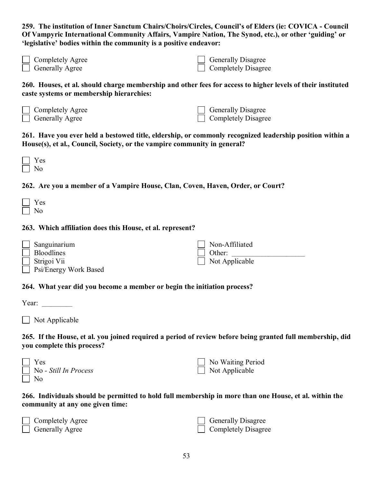**259. The institution of Inner Sanctum Chairs/Choirs/Circles, Council's of Elders (ie: COVICA - Council Of Vampyric International Community Affairs, Vampire Nation, The Synod, etc.), or other 'guiding' or 'legislative' bodies within the community is a positive endeavor:** 

| $\Box$ Completely Agree | $\Box$ Generally Disagree  |
|-------------------------|----------------------------|
| $\Box$ Generally Agree  | $\Box$ Completely Disagree |

**260. Houses, et al. should charge membership and other fees for access to higher levels of their instituted caste systems or membership hierarchies:**

| $\Box$ Completely Agree | $\Box$ Generally Disagree  |
|-------------------------|----------------------------|
| $\Box$ Generally Agree  | $\Box$ Completely Disagree |

**261. Have you ever held a bestowed title, eldership, or commonly recognized leadership position within a House(s), et al., Council, Society, or the vampire community in general?**

| − |
|---|
|   |

## **262. Are you a member of a Vampire House, Clan, Coven, Haven, Order, or Court?**

## **263. Which affiliation does this House, et al. represent?**

| Sanguinarium          | Non-Affiliated |
|-----------------------|----------------|
| <b>Bloodlines</b>     | Other:         |
| Strigoi Vii           | Not Applicable |
| Psi/Energy Work Based |                |

#### **264. What year did you become a member or begin the initiation process?**

| л |  |  |  |
|---|--|--|--|
|   |  |  |  |

Not Applicable

**265. If the House, et al. you joined required a period of review before being granted full membership, did you complete this process?**

| Yes                   | No Waiting Period     |
|-----------------------|-----------------------|
| No - Still In Process | $\Box$ Not Applicable |
| N <sub>0</sub>        |                       |

**266. Individuals should be permitted to hold full membership in more than one House, et al. within the community at any one given time:**

| Completely Agree       | $\Box$ Generally Disagree  |
|------------------------|----------------------------|
| <b>Generally Agree</b> | $\Box$ Completely Disagree |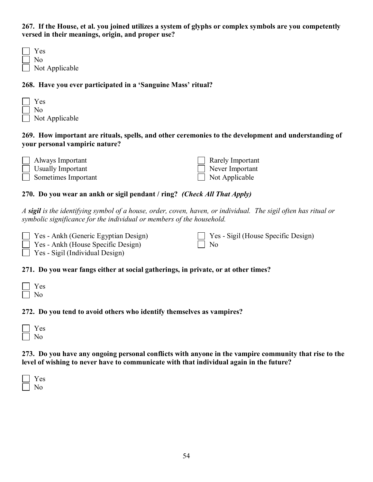**267. If the House, et al. you joined utilizes a system of glyphs or complex symbols are you competently versed in their meanings, origin, and proper use?**

| $\Box$ | Yes                   |
|--------|-----------------------|
|        | $\lfloor \rfloor$ No  |
|        | $\Box$ Not Applicable |

#### **268. Have you ever participated in a 'Sanguine Mass' ritual?**

| Yes                   |
|-----------------------|
| l I No                |
| $\Box$ Not Applicable |

### **269. How important are rituals, spells, and other ceremonies to the development and understanding of your personal vampiric nature?**

| $\Box$ Always Important    | $\Box$ Rarely Important |
|----------------------------|-------------------------|
| $\Box$ Usually Important   | Never Important         |
| $\Box$ Sometimes Important | $\Box$ Not Applicable   |

## **270. Do you wear an ankh or sigil pendant / ring?** *(Check All That Apply)*

*A sigil is the identifying symbol of a house, order, coven, haven, or individual. The sigil often has ritual or symbolic significance for the individual or members of the household.*

| $\Box$ Yes - Ankh (Generic Egyptian Design) | $\Box$ Yes - Sigil (House Specific Design) |
|---------------------------------------------|--------------------------------------------|
| $\Box$ Yes - Ankh (House Specific Design)   | $\perp$ No                                 |
| $\Box$ Yes - Sigil (Individual Design)      |                                            |

#### **271. Do you wear fangs either at social gatherings, in private, or at other times?**

## **272. Do you tend to avoid others who identify themselves as vampires?**

| c.<br>O, |
|----------|
|          |

**273. Do you have any ongoing personal conflicts with anyone in the vampire community that rise to the level of wishing to never have to communicate with that individual again in the future?**

| a sa |
|------|
|      |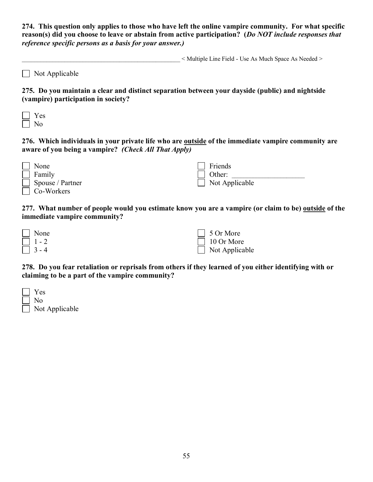**274. This question only applies to those who have left the online vampire community. For what specific reason(s) did you choose to leave or abstain from active participation? (***Do NOT include responses that reference specific persons as a basis for your answer.)*

 $\leq$  Multiple Line Field - Use As Much Space As Needed  $\geq$ 

|  | $\Box$ Not Applicable |  |
|--|-----------------------|--|
|  |                       |  |

**275. Do you maintain a clear and distinct separation between your dayside (public) and nightside (vampire) participation in society?**

**276. Which individuals in your private life who are outside of the immediate vampire community are aware of you being a vampire?** *(Check All That Apply)*

| None                    | Friends               |
|-------------------------|-----------------------|
| $\Box$ Family           | $\mid$ Other:         |
| $\Box$ Spouse / Partner | $\Box$ Not Applicable |
| $\Box$ Co-Workers       |                       |

**277. What number of people would you estimate know you are a vampire (or claim to be) outside of the immediate vampire community?**

| $\blacksquare$ None | $\Box$ 5 Or More      |
|---------------------|-----------------------|
| $\perp$ 1 - 2       | $\Box$ 10 Or More     |
| $ 3 - 4 $           | $\Box$ Not Applicable |

**278. Do you fear retaliation or reprisals from others if they learned of you either identifying with or claiming to be a part of the vampire community?**

| $\mathbb{R}$ | Y es                  |
|--------------|-----------------------|
|              | No                    |
|              | $\Box$ Not Applicable |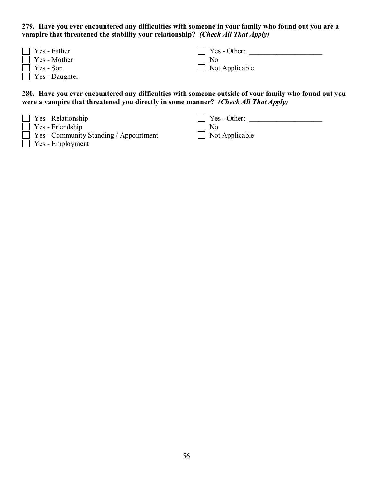**279. Have you ever encountered any difficulties with someone in your family who found out you are a vampire that threatened the stability your relationship?** *(Check All That Apply)*

| $\Box$ Yes - Father   | $\Box$ Yes - Other:   |
|-----------------------|-----------------------|
| $\Box$ Yes - Mother   | $\Box$ No             |
| $\Box$ Yes - Son      | $\Box$ Not Applicable |
| $\Box$ Yes - Daughter |                       |

**280. Have you ever encountered any difficulties with someone outside of your family who found out you were a vampire that threatened you directly in some manner?** *(Check All That Apply)*

- Yes Relationship
- Yes Friendship
- Yes Community Standing / Appointment
- Yes Employment

 Yes - Other: \_\_\_\_\_\_\_\_\_\_\_\_\_\_\_\_\_\_\_\_\_\_\_\_ No Not Applicable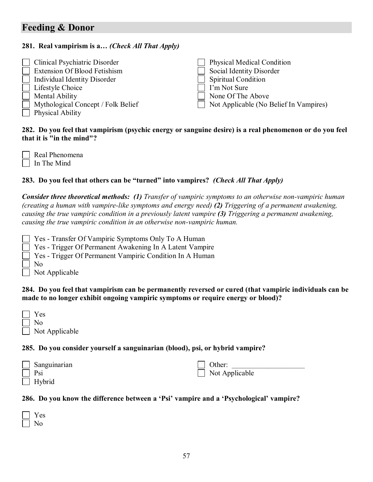# **Feeding & Donor**

### **281. Real vampirism is a…** *(Check All That Apply)*

| $\Box$ Clinical Psychiatric Disorder      | Physical Medical Condition             |
|-------------------------------------------|----------------------------------------|
| <b>Extension Of Blood Fetishism</b>       | Social Identity Disorder               |
| Individual Identity Disorder              | Spiritual Condition                    |
| $\Box$ Lifestyle Choice                   | I'm Not Sure                           |
| $\Box$ Mental Ability                     | None Of The Above                      |
| $\Box$ Mythological Concept / Folk Belief | Not Applicable (No Belief In Vampires) |
| $\Box$ Physical Ability                   |                                        |

#### **282. Do you feel that vampirism (psychic energy or sanguine desire) is a real phenomenon or do you feel that it is "in the mind"?**

| $\Box$ Real Phenomena |  |
|-----------------------|--|
| $\Box$ In The Mind    |  |

## **283. Do you feel that others can be "turned" into vampires?** *(Check All That Apply)*

*Consider three theoretical methods: (1) Transfer of vampiric symptoms to an otherwise non-vampiric human (creating a human with vampire-like symptoms and energy need) (2) Triggering of a permanent awakening, causing the true vampiric condition in a previously latent vampire (3) Triggering a permanent awakening, causing the true vampiric condition in an otherwise non-vampiric human.*

Yes - Transfer Of Vampiric Symptoms Only To A Human

Yes - Trigger Of Permanent Awakening In A Latent Vampire

- Yes Trigger Of Permanent Vampiric Condition In A Human
- No

Not Applicable

#### **284. Do you feel that vampirism can be permanently reversed or cured (that vampiric individuals can be made to no longer exhibit ongoing vampiric symptoms or require energy or blood)?**

| $\mathbf{1}$ | Y es                  |
|--------------|-----------------------|
| $\Box$       | No.                   |
|              | $\Box$ Not Applicable |

#### **285. Do you consider yourself a sanguinarian (blood), psi, or hybrid vampire?**

| $\Box$ Sanguinarian | Other:                |
|---------------------|-----------------------|
| $\vert$   Psi       | $\Box$ Not Applicable |
| $\Box$ Hybrid       |                       |

#### **286. Do you know the difference between a 'Psi' vampire and a 'Psychological' vampire?**

| a sa |
|------|
|      |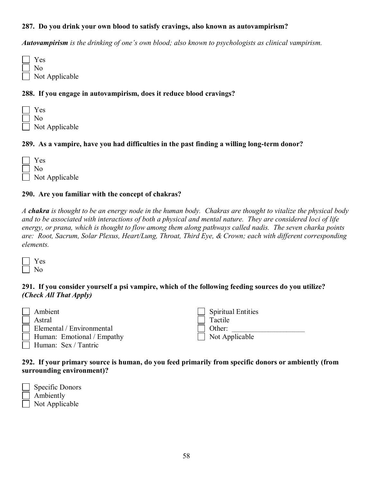## **287. Do you drink your own blood to satisfy cravings, also known as autovampirism?**

*Autovampirism is the drinking of one's own blood; also known to psychologists as clinical vampirism.*

| Yes                   |
|-----------------------|
| $\vert$   No          |
| $\Box$ Not Applicable |

#### **288. If you engage in autovampirism, does it reduce blood cravings?**

 Yes No Not Applicable

#### **289. As a vampire, have you had difficulties in the past finding a willing long-term donor?**

| $\vert$   Yes         |
|-----------------------|
| $\vert$   No          |
| $\Box$ Not Applicable |

#### **290. Are you familiar with the concept of chakras?**

*A chakra is thought to be an energy node in the human body. Chakras are thought to vitalize the physical body and to be associated with interactions of both a physical and mental nature. They are considered loci of life energy, or prana, which is thought to flow among them along pathways called nadis. The seven charka points are: Root, Sacrum, Solar Plexus, Heart/Lung, Throat, Third Eye, & Crown; each with different corresponding elements.*

## **291. If you consider yourself a psi vampire, which of the following feeding sources do you utilize?**  *(Check All That Apply)*

| Ambient                          | $\Box$ Spiritual Entities |
|----------------------------------|---------------------------|
| Astral                           | Tactile                   |
| $\Box$ Elemental / Environmental | Other:                    |
| Human: Emotional / Empathy       | $\Box$ Not Applicable     |
| Human: Sex / Tantric             |                           |

#### **292. If your primary source is human, do you feed primarily from specific donors or ambiently (from surrounding environment)?**

| Specific Donors       |
|-----------------------|
| Ambiently             |
| $\Box$ Not Applicable |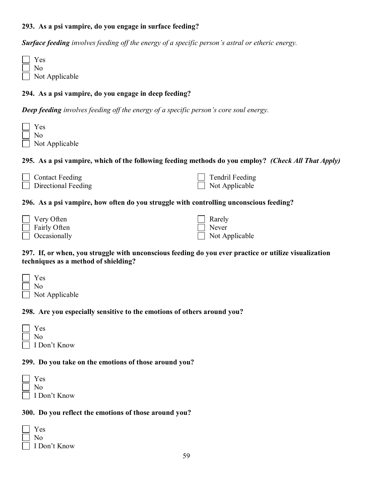### **293. As a psi vampire, do you engage in surface feeding?**

*Surface feeding involves feeding off the energy of a specific person's astral or etheric energy.*

 Yes No Not Applicable

## **294. As a psi vampire, do you engage in deep feeding?**

*Deep feeding involves feeding off the energy of a specific person's core soul energy.*

| Yes            |
|----------------|
| No.            |
| Not Applicable |

#### **295. As a psi vampire, which of the following feeding methods do you employ?** *(Check All That Apply)*

| $\Box$ Contact Feeding | $\Box$ Tendril Feeding |
|------------------------|------------------------|
| Directional Feeding    | $\Box$ Not Applicable  |

#### **296. As a psi vampire, how often do you struggle with controlling unconscious feeding?**

| Very Often          | $\vert$ Rarely        |
|---------------------|-----------------------|
| Fairly Often        | $\Box$ Never          |
| $\Box$ Occasionally | $\Box$ Not Applicable |

#### **297. If, or when, you struggle with unconscious feeding do you ever practice or utilize visualization techniques as a method of shielding?**

| $\Box$ | Y es                  |
|--------|-----------------------|
|        | No                    |
|        | $\Box$ Not Applicable |

#### **298. Are you especially sensitive to the emotions of others around you?**

| Yes          |
|--------------|
| No.          |
| I Don't Know |

#### **299. Do you take on the emotions of those around you?**

|        | Y es         |
|--------|--------------|
|        | $\perp$ No   |
| $\Box$ | I Don't Know |

#### **300. Do you reflect the emotions of those around you?**

| Y es         |
|--------------|
| Nο           |
| I Don't Know |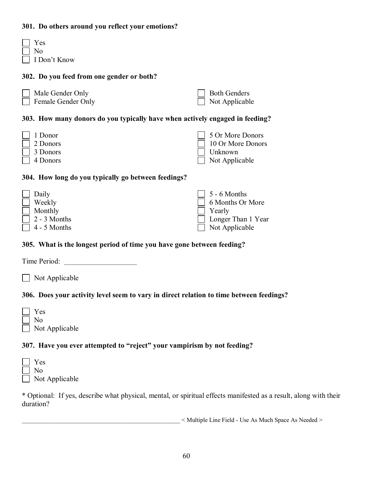#### **301. Do others around you reflect your emotions?**

| Y es           |
|----------------|
| N <sub>0</sub> |
| I Don't Know   |

### **302. Do you feed from one gender or both?**

| $\Box$ Male Gender Only   | $\Box$ Both Genders   |
|---------------------------|-----------------------|
| $\Box$ Female Gender Only | $\Box$ Not Applicable |

## **303. How many donors do you typically have when actively engaged in feeding?**

| $\Box$ 1 Donor  | 5 Or More Donors      |
|-----------------|-----------------------|
| $\Box$ 2 Donors | 10 Or More Donors     |
| $\Box$ 3 Donors | $\Box$ Unknown        |
| $\Box$ 4 Donors | $\Box$ Not Applicable |

#### **304. How long do you typically go between feedings?**

| $\vert$ Daily       | $\Box$ 5 - 6 Months       |
|---------------------|---------------------------|
| $\Box$ Weekly       | 6 Months Or More          |
| $\Box$ Monthly      | $\Box$ Yearly             |
| $\Box$ 2 - 3 Months | <b>Longer Than 1 Year</b> |
| $\Box$ 4 - 5 Months | $\Box$ Not Applicable     |

#### **305. What is the longest period of time you have gone between feeding?**

Time Period:

□ Not Applicable

## **306. Does your activity level seem to vary in direct relation to time between feedings?**

| $\Box$ | Yes                   |
|--------|-----------------------|
|        | No                    |
|        | $\Box$ Not Applicable |

## **307. Have you ever attempted to "reject" your vampirism by not feeding?**

| Y es                  |
|-----------------------|
| $\vert$   No          |
| $\Box$ Not Applicable |

\* Optional: If yes, describe what physical, mental, or spiritual effects manifested as a result, along with their duration?

 $\leq$  Multiple Line Field - Use As Much Space As Needed  $\geq$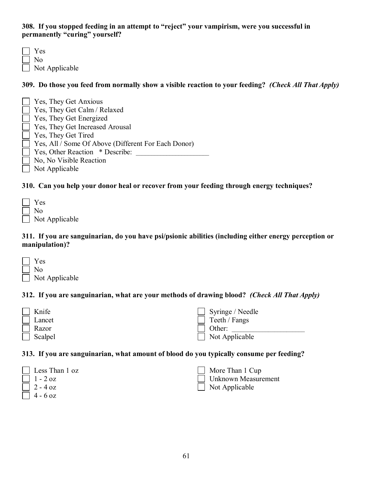### **308. If you stopped feeding in an attempt to "reject" your vampirism, were you successful in permanently "curing" yourself?**

 Yes No Not Applicable

**309. Do those you feed from normally show a visible reaction to your feeding?** *(Check All That Apply)*

| $\Box$ Yes, They Get Anxious                               |
|------------------------------------------------------------|
| $\Box$ Yes, They Get Calm / Relaxed                        |
| $\Box$ Yes, They Get Energized                             |
| $\Box$ Yes, They Get Increased Arousal                     |
| $\Box$ Yes, They Get Tired                                 |
| $\Box$ Yes, All / Some Of Above (Different For Each Donor) |
| $\Box$ Yes, Other Reaction $*$ Describe:                   |
| $\Box$ No, No Visible Reaction                             |
| Not Applicable                                             |

## **310. Can you help your donor heal or recover from your feeding through energy techniques?**

| <b>Yes</b>            |
|-----------------------|
| No.                   |
| $\Box$ Not Applicable |

#### **311. If you are sanguinarian, do you have psi/psionic abilities (including either energy perception or manipulation)?**

| <b>Yes</b>     |
|----------------|
| No.            |
| Not Applicable |

## **312. If you are sanguinarian, what are your methods of drawing blood?** *(Check All That Apply)*

| $\Box$ Knife   | $\Box$ Syringe / Needle |
|----------------|-------------------------|
| $\Box$ Lancet  | $\Box$ Teeth / Fangs    |
| Razor          | Other:                  |
| $\Box$ Scalpel | $\Box$ Not Applicable   |

#### **313. If you are sanguinarian, what amount of blood do you typically consume per feeding?**

| $\Box$ Less Than 1 oz                                    |
|----------------------------------------------------------|
| $\begin{array}{ c c c c c } \hline \end{array}$ 1 - 2 oz |
| $\Box$ 2 - 4 oz                                          |
| $1 \t1 \t6 \t2$                                          |

 $\Box$  4 - 6 oz

 More Than 1 Cup Unknown Measurement Not Applicable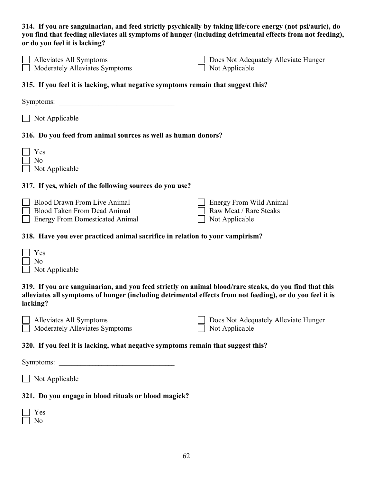**314. If you are sanguinarian, and feed strictly psychically by taking life/core energy (not psi/auric), do you find that feeding alleviates all symptoms of hunger (including detrimental effects from not feeding), or do you feel it is lacking?**

| $\Box$ Alleviates All Symptoms | $\Box$ Does Not Adequately Alleviate Hunger |
|--------------------------------|---------------------------------------------|
| Moderately Alleviates Symptoms | $\Box$ Not Applicable                       |

#### **315. If you feel it is lacking, what negative symptoms remain that suggest this?**

Symptoms:

Not Applicable

#### **316. Do you feed from animal sources as well as human donors?**

| Y es             |              |
|------------------|--------------|
| N٥               |              |
| $N_{\Omega}$ t A | $\mathbf{r}$ |

 $\Box$  Not Applicable

#### **317. If yes, which of the following sources do you use?**

| <b>Blood Drawn From Live Animal</b>    | Energy From Wild Animal |
|----------------------------------------|-------------------------|
| Blood Taken From Dead Animal           | Raw Meat / Rare Steaks  |
| <b>Energy From Domesticated Animal</b> | $\Box$ Not Applicable   |

#### **318. Have you ever practiced animal sacrifice in relation to your vampirism?**

| $ $ Yes               |
|-----------------------|
| $\vert$   No          |
| $\Box$ Not Applicable |

**319. If you are sanguinarian, and you feed strictly on animal blood/rare steaks, do you find that this alleviates all symptoms of hunger (including detrimental effects from not feeding), or do you feel it is lacking?**

| $\Box$ Alleviates All Symptoms | Does Not Adequately Alleviate Hunger |
|--------------------------------|--------------------------------------|
| Moderately Alleviates Symptoms | $\Box$ Not Applicable                |

#### **320. If you feel it is lacking, what negative symptoms remain that suggest this?**

Symptoms:

 $\Box$  Not Applicable

#### **321. Do you engage in blood rituals or blood magick?**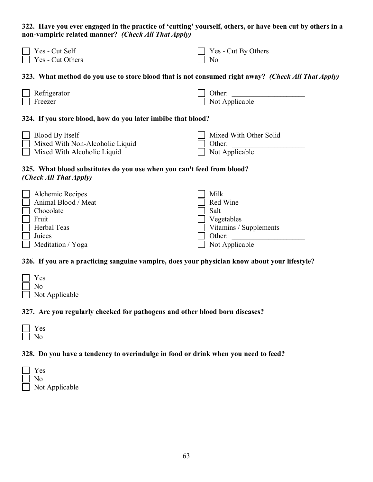**322. Have you ever engaged in the practice of 'cutting' yourself, others, or have been cut by others in a non-vampiric related manner?** *(Check All That Apply)*

| $\Box$ Yes - Cut Self   | $\Box$ Yes - Cut By Others |
|-------------------------|----------------------------|
| $\Box$ Yes - Cut Others | $\vert$   No               |

#### **323. What method do you use to store blood that is not consumed right away?** *(Check All That Apply)*

| Refrigerator | Other:                |
|--------------|-----------------------|
| Freezer      | $\Box$ Not Applicable |

#### **324. If you store blood, how do you later imbibe that blood?**

 Blood By Itself Mixed With Non-Alcoholic Liquid Mixed With Alcoholic Liquid Mixed With Other Solid Other: Not Applicable

#### **325. What blood substitutes do you use when you can't feed from blood?**  *(Check All That Apply)*

| Alchemic Recipes    | Milk                          |
|---------------------|-------------------------------|
| Animal Blood / Meat | Red Wine                      |
| Chocolate           | Salt                          |
| Fruit               | Vegetables                    |
| Herbal Teas         | $\Box$ Vitamins / Supplements |
| Juices              | Other:                        |
| Meditation / Yoga   | Not Applicable                |

#### **326. If you are a practicing sanguine vampire, does your physician know about your lifestyle?**

| $\perp$ Yes           |
|-----------------------|
| $\vert$   No          |
| $\Box$ Not Applicable |

#### **327. Are you regularly checked for pathogens and other blood born diseases?**

| ═ |
|---|
|   |

## **328. Do you have a tendency to overindulge in food or drink when you need to feed?**

| Y es                  |
|-----------------------|
| -No                   |
| $\Box$ Not Applicable |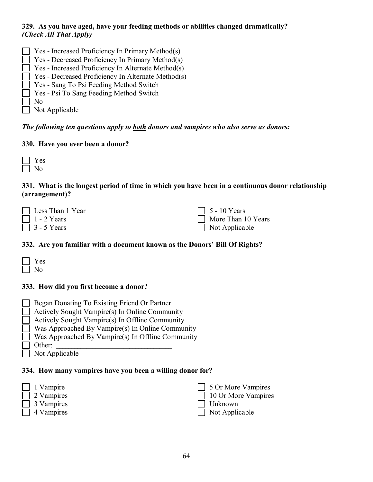## **329. As you have aged, have your feeding methods or abilities changed dramatically?**  *(Check All That Apply)*

 Yes - Increased Proficiency In Primary Method(s) Yes - Decreased Proficiency In Primary Method(s) Yes - Increased Proficiency In Alternate Method(s) Yes - Decreased Proficiency In Alternate Method(s) Yes - Sang To Psi Feeding Method Switch Yes - Psi To Sang Feeding Method Switch No Not Applicable

*The following ten questions apply to both donors and vampires who also serve as donors:*

## **330. Have you ever been a donor?**

| o. |
|----|
|    |

## **331. What is the longest period of time in which you have been in a continuous donor relationship (arrangement)?**

| $\Box$ Less Than 1 Year | $\Box$ 5 - 10 Years   |
|-------------------------|-----------------------|
| $\Box$ 1 - 2 Years      | More Than 10 Years    |
| $\Box$ 3 - 5 Years      | $\Box$ Not Applicable |

## **332. Are you familiar with a document known as the Donors' Bill Of Rights?**

| 2<br>┌ |
|--------|
|        |

## **333. How did you first become a donor?**

- Began Donating To Existing Friend Or Partner
- Actively Sought Vampire(s) In Online Community
- Actively Sought Vampire(s) In Offline Community
- Was Approached By Vampire(s) In Online Community
- Was Approached By Vampire(s) In Offline Community
- Other:
	- Not Applicable

#### **334. How many vampires have you been a willing donor for?**

- 1 Vampire
- 2 Vampires
- 3 Vampires
- 4 Vampires

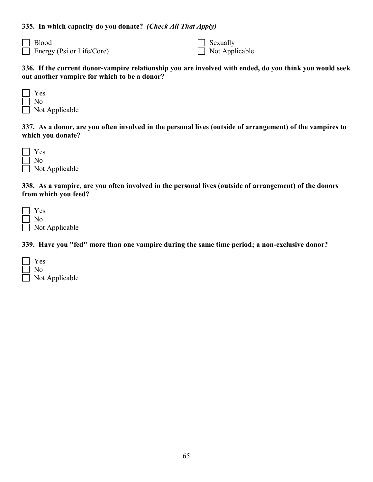### **335. In which capacity do you donate?** *(Check All That Apply)*

 Blood Energy (Psi or Life/Core)  Sexually Not Applicable

**336. If the current donor-vampire relationship you are involved with ended, do you think you would seek out another vampire for which to be a donor?**

| Yes            |
|----------------|
| No             |
| Not Applicable |

**337. As a donor, are you often involved in the personal lives (outside of arrangement) of the vampires to which you donate?**

| Y es                   |
|------------------------|
| No.                    |
| $\perp$ Not Applicable |

**338. As a vampire, are you often involved in the personal lives (outside of arrangement) of the donors from which you feed?**

 Yes No Not Applicable

**339. Have you "fed" more than one vampire during the same time period; a non-exclusive donor?**

| $ $ Yes               |
|-----------------------|
| $\vert$   No          |
| $\Box$ Not Applicable |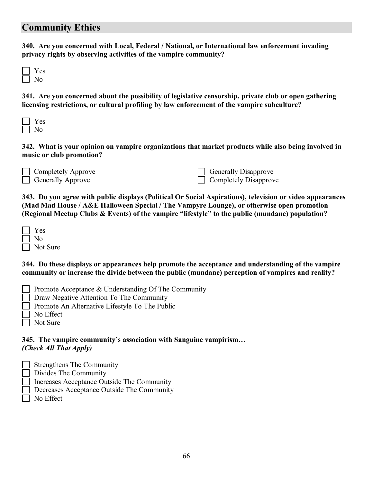## **Community Ethics**

**340. Are you concerned with Local, Federal / National, or International law enforcement invading privacy rights by observing activities of the vampire community?**

 Yes No

**341. Are you concerned about the possibility of legislative censorship, private club or open gathering licensing restrictions, or cultural profiling by law enforcement of the vampire subculture?**

**342. What is your opinion on vampire organizations that market products while also being involved in music or club promotion?**

| $\Box$ Completely Approve |
|---------------------------|
| $\Box$ Generally Approve  |

 Generally Disapprove Completely Disapprove

**343. Do you agree with public displays (Political Or Social Aspirations), television or video appearances (Mad Mad House / A&E Halloween Special / The Vampyre Lounge), or otherwise open promotion (Regional Meetup Clubs & Events) of the vampire "lifestyle" to the public (mundane) population?**

| Y es     |
|----------|
| N٥       |
| Not Sure |

**344. Do these displays or appearances help promote the acceptance and understanding of the vampire community or increase the divide between the public (mundane) perception of vampires and reality?**

| Promote Acceptance $\&$ Understanding Of The Community |  |
|--------------------------------------------------------|--|
|                                                        |  |

Draw Negative Attention To The Community

- Promote An Alternative Lifestyle To The Public
- No Effect
- Not Sure

**345. The vampire community's association with Sanguine vampirism…** *(Check All That Apply)*

- Strengthens The Community
- Divides The Community
- Increases Acceptance Outside The Community
- Decreases Acceptance Outside The Community
- No Effect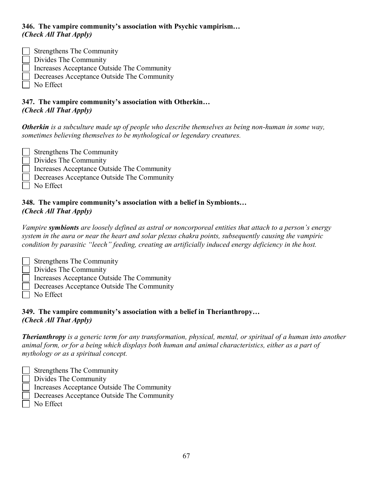## **346. The vampire community's association with Psychic vampirism…** *(Check All That Apply)*

- Strengthens The Community
- Divides The Community
- Increases Acceptance Outside The Community
- Decreases Acceptance Outside The Community
- No Effect
- **347. The vampire community's association with Otherkin…** *(Check All That Apply)*

*Otherkin is a subculture made up of people who describe themselves as being non-human in some way, sometimes believing themselves to be mythological or legendary creatures.*

- Strengthens The Community
- Divides The Community
- Increases Acceptance Outside The Community
- Decreases Acceptance Outside The Community
- No Effect

## **348. The vampire community's association with a belief in Symbionts…** *(Check All That Apply)*

*Vampire symbionts are loosely defined as astral or noncorporeal entities that attach to a person's energy system in the aura or near the heart and solar plexus chakra points, subsequently causing the vampiric condition by parasitic "leech" feeding, creating an artificially induced energy deficiency in the host.*

- Strengthens The Community
- Divides The Community
- Increases Acceptance Outside The Community
- Decreases Acceptance Outside The Community
- No Effect

## **349. The vampire community's association with a belief in Therianthropy…** *(Check All That Apply)*

*Therianthropy is a generic term for any transformation, physical, mental, or spiritual of a human into another animal form, or for a being which displays both human and animal characteristics, either as a part of mythology or as a spiritual concept.*

- Strengthens The Community
- Divides The Community
- Increases Acceptance Outside The Community
- Decreases Acceptance Outside The Community
- No Effect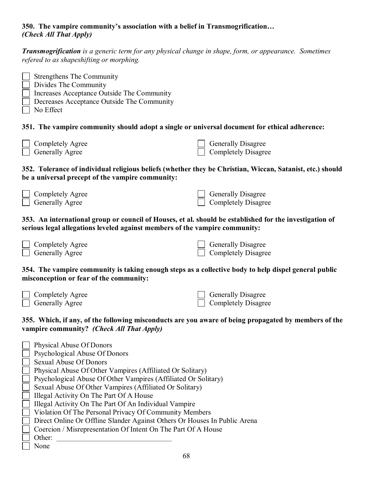## **350. The vampire community's association with a belief in Transmogrification…** *(Check All That Apply)*

*Transmogrification is a generic term for any physical change in shape, form, or appearance. Sometimes refered to as shapeshifting or morphing.*

- Strengthens The Community Divides The Community Increases Acceptance Outside The Community
- Decreases Acceptance Outside The Community
- No Effect

## **351. The vampire community should adopt a single or universal document for ethical adherence:**

| Completely Agree       | $\Box$ Generally Disagree  |
|------------------------|----------------------------|
| <b>Generally Agree</b> | $\Box$ Completely Disagree |

## **352. Tolerance of individual religious beliefs (whether they be Christian, Wiccan, Satanist, etc.) should be a universal precept of the vampire community:**

| $\Box$ Completely Agree | $\Box$ Generally Disagree  |
|-------------------------|----------------------------|
| $\Box$ Generally Agree  | $\Box$ Completely Disagree |

### **353. An international group or council of Houses, et al. should be established for the investigation of serious legal allegations leveled against members of the vampire community:**

| $\Box$ Completely Agree |
|-------------------------|
| $\Box$ Generally Agree  |

| $\Box$ Generally Disagree  |
|----------------------------|
| $\Box$ Completely Disagree |

## **354. The vampire community is taking enough steps as a collective body to help dispel general public misconception or fear of the community:**

| <b>Completely Agree</b> |
|-------------------------|
| Generally Agree         |

 Generally Disagree Completely Disagree

## **355. Which, if any, of the following misconducts are you aware of being propagated by members of the vampire community?** *(Check All That Apply)*

| <b>Physical Abuse Of Donors</b>                                           |
|---------------------------------------------------------------------------|
| Psychological Abuse Of Donors                                             |
| <b>Sexual Abuse Of Donors</b>                                             |
| Physical Abuse Of Other Vampires (Affiliated Or Solitary)                 |
| Psychological Abuse Of Other Vampires (Affiliated Or Solitary)            |
| Sexual Abuse Of Other Vampires (Affiliated Or Solitary)                   |
| Illegal Activity On The Part Of A House                                   |
| Illegal Activity On The Part Of An Individual Vampire                     |
| Violation Of The Personal Privacy Of Community Members                    |
| Direct Online Or Offline Slander Against Others Or Houses In Public Arena |
| Coercion / Misrepresentation Of Intent On The Part Of A House             |
| Other:                                                                    |
| None                                                                      |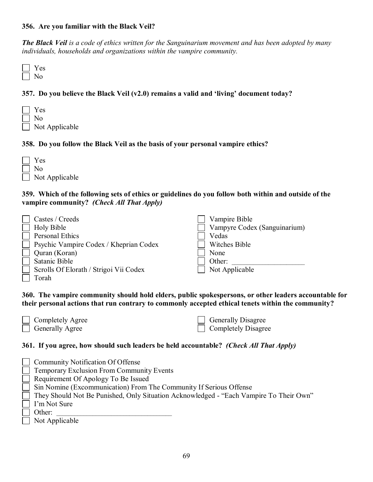#### **356. Are you familiar with the Black Veil?**

*The Black Veil is a code of ethics written for the Sanguinarium movement and has been adopted by many individuals, households and organizations within the vampire community.*

 Yes No

## **357. Do you believe the Black Veil (v2.0) remains a valid and 'living' document today?**

 Yes No Not Applicable

#### **358. Do you follow the Black Veil as the basis of your personal vampire ethics?**

| $\Box$ | Yes                   |
|--------|-----------------------|
|        | $\vert$   No          |
|        | $\Box$ Not Applicable |

#### **359. Which of the following sets of ethics or guidelines do you follow both within and outside of the vampire community?** *(Check All That Apply)*

| Castes / Creeds                                             | Vampire Bible                |
|-------------------------------------------------------------|------------------------------|
| <b>Holy Bible</b>                                           | Vampyre Codex (Sanguinarium) |
| Personal Ethics                                             | Vedas                        |
| Psychic Vampire Codex / Kheprian Codex<br>$\vert \ \ \vert$ | Witches Bible                |
| Quran (Koran)                                               | None                         |
| Satanic Bible                                               | Other:                       |
| Scrolls Of Elorath / Strigoi Vii Codex                      | Not Applicable               |
| Torah                                                       |                              |

**360. The vampire community should hold elders, public spokespersons, or other leaders accountable for their personal actions that run contrary to commonly accepted ethical tenets within the community?**

| Completely Agree       |
|------------------------|
| <b>Generally Agree</b> |

| <b>Generally Disagree</b>  |
|----------------------------|
| <b>Completely Disagree</b> |

#### **361. If you agree, how should such leaders be held accountable?** *(Check All That Apply)*

| $\Box$ Community Notification Of Offense                                               |
|----------------------------------------------------------------------------------------|
| $\Box$ Temporary Exclusion From Community Events                                       |
| $\Box$ Requirement Of Apology To Be Issued                                             |
| $\Box$ Sin Nomine (Excommunication) From The Community If Serious Offense              |
| They Should Not Be Punished, Only Situation Acknowledged - "Each Vampire To Their Own" |
| $\Box$ I'm Not Sure                                                                    |
| Other:                                                                                 |
| $\Box$ Not Applicable                                                                  |
|                                                                                        |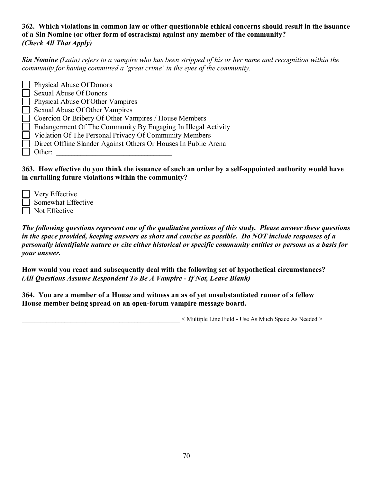## **362. Which violations in common law or other questionable ethical concerns should result in the issuance of a Sin Nomine (or other form of ostracism) against any member of the community?**  *(Check All That Apply)*

*Sin Nomine (Latin) refers to a vampire who has been stripped of his or her name and recognition within the community for having committed a 'great crime' in the eyes of the community.*

 Physical Abuse Of Donors Sexual Abuse Of Donors Physical Abuse Of Other Vampires Sexual Abuse Of Other Vampires Coercion Or Bribery Of Other Vampires / House Members Endangerment Of The Community By Engaging In Illegal Activity Violation Of The Personal Privacy Of Community Members Direct Offline Slander Against Others Or Houses In Public Arena Other:

**363. How effective do you think the issuance of such an order by a self-appointed authority would have in curtailing future violations within the community?**

 Very Effective Somewhat Effective Not Effective

*The following questions represent one of the qualitative portions of this study. Please answer these questions in the space provided, keeping answers as short and concise as possible. Do NOT include responses of a personally identifiable nature or cite either historical or specific community entities or persons as a basis for your answer.*

**How would you react and subsequently deal with the following set of hypothetical circumstances?**  *(All Questions Assume Respondent To Be A Vampire - If Not, Leave Blank)*

**364. You are a member of a House and witness an as of yet unsubstantiated rumor of a fellow House member being spread on an open-forum vampire message board.**

\_\_\_\_\_\_\_\_\_\_\_\_\_\_\_\_\_\_\_\_\_\_\_\_\_\_\_\_\_\_\_\_\_\_\_\_\_\_\_\_\_\_\_\_\_\_\_\_\_\_\_\_ < Multiple Line Field - Use As Much Space As Needed >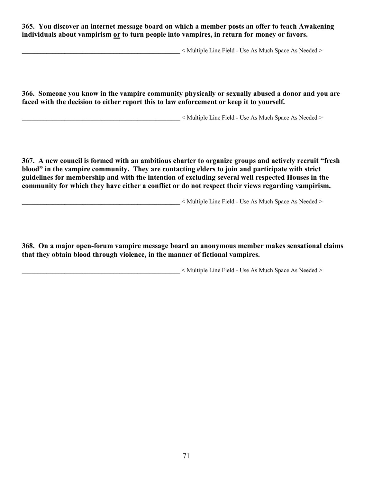**365. You discover an internet message board on which a member posts an offer to teach Awakening individuals about vampirism or to turn people into vampires, in return for money or favors.**

 $\leq$  Multiple Line Field - Use As Much Space As Needed  $\geq$ 

**366. Someone you know in the vampire community physically or sexually abused a donor and you are faced with the decision to either report this to law enforcement or keep it to yourself.**

\_\_\_\_\_\_\_\_\_\_\_\_\_\_\_\_\_\_\_\_\_\_\_\_\_\_\_\_\_\_\_\_\_\_\_\_\_\_\_\_\_\_\_\_\_\_\_\_\_\_\_\_ < Multiple Line Field - Use As Much Space As Needed >

**367. A new council is formed with an ambitious charter to organize groups and actively recruit "fresh blood" in the vampire community. They are contacting elders to join and participate with strict guidelines for membership and with the intention of excluding several well respected Houses in the community for which they have either a conflict or do not respect their views regarding vampirism.**

 $\leq$  Multiple Line Field - Use As Much Space As Needed  $\geq$ 

**368. On a major open-forum vampire message board an anonymous member makes sensational claims that they obtain blood through violence, in the manner of fictional vampires.**

 $\leq$  Multiple Line Field - Use As Much Space As Needed  $\geq$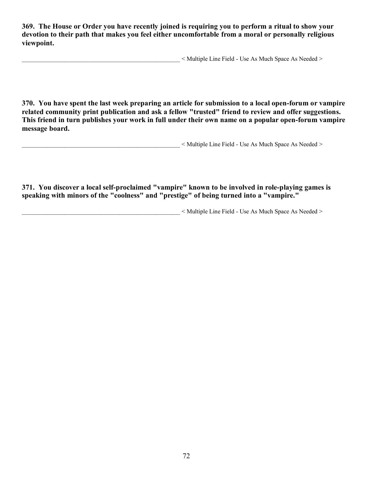**369. The House or Order you have recently joined is requiring you to perform a ritual to show your devotion to their path that makes you feel either uncomfortable from a moral or personally religious viewpoint.**

 $\leq$  Multiple Line Field - Use As Much Space As Needed  $\geq$ 

**370. You have spent the last week preparing an article for submission to a local open-forum or vampire related community print publication and ask a fellow "trusted" friend to review and offer suggestions. This friend in turn publishes your work in full under their own name on a popular open-forum vampire message board.**

 $\leq$  Multiple Line Field - Use As Much Space As Needed  $\geq$ 

**371. You discover a local self-proclaimed "vampire" known to be involved in role-playing games is speaking with minors of the "coolness" and "prestige" of being turned into a "vampire."**

\_\_\_\_\_\_\_\_\_\_\_\_\_\_\_\_\_\_\_\_\_\_\_\_\_\_\_\_\_\_\_\_\_\_\_\_\_\_\_\_\_\_\_\_\_\_\_\_\_\_\_\_ < Multiple Line Field - Use As Much Space As Needed >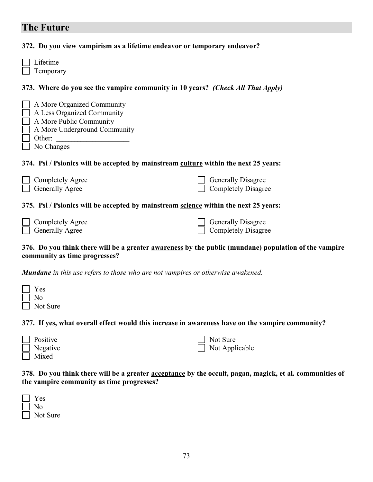# **The Future**

**372. Do you view vampirism as a lifetime endeavor or temporary endeavor?** 

| Lifetime<br>Temporary                                                                                                                       |                                                         |  |  |
|---------------------------------------------------------------------------------------------------------------------------------------------|---------------------------------------------------------|--|--|
| 373. Where do you see the vampire community in 10 years? <i>(Check All That Apply)</i>                                                      |                                                         |  |  |
| A More Organized Community<br>A Less Organized Community<br>A More Public Community<br>A More Underground Community<br>Other:<br>No Changes |                                                         |  |  |
| 374. Psi / Psionics will be accepted by mainstream culture within the next 25 years:                                                        |                                                         |  |  |
| Completely Agree<br>Generally Agree                                                                                                         | <b>Generally Disagree</b><br><b>Completely Disagree</b> |  |  |
| 375. Psi / Psionics will be accepted by mainstream <u>science</u> within the next 25 years:                                                 |                                                         |  |  |
| Completely Agree<br>Generally Agree                                                                                                         | <b>Generally Disagree</b><br><b>Completely Disagree</b> |  |  |

#### **376. Do you think there will be a greater awareness by the public (mundane) population of the vampire community as time progresses?**

*Mundane in this use refers to those who are not vampires or otherwise awakened.*

| ■ Yes<br>■ No<br>■ Not Sure |  |  |  |
|-----------------------------|--|--|--|
|                             |  |  |  |

**377. If yes, what overall effect would this increase in awareness have on the vampire community?**

| $\Box$ Positive | Not Sure              |
|-----------------|-----------------------|
| $\Box$ Negative | $\Box$ Not Applicable |
| $\Box$ Mixed    |                       |

**378. Do you think there will be a greater acceptance by the occult, pagan, magick, et al. communities of the vampire community as time progresses?**

| Y es     |
|----------|
| N٥       |
| Not Sure |